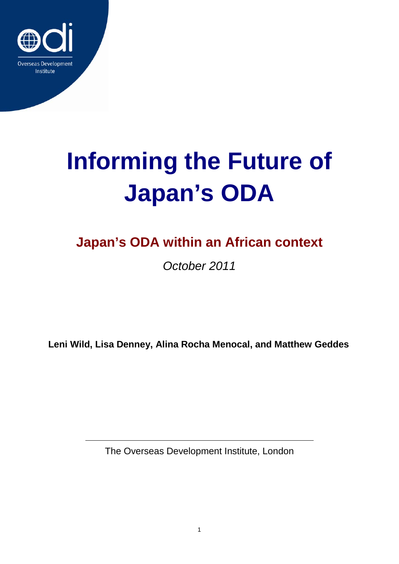

# **Informing the Future of Japan's ODA**

# **Japan's ODA within an African context**

*October 2011*

**Leni Wild, Lisa Denney, Alina Rocha Menocal, and Matthew Geddes**

The Overseas Development Institute, London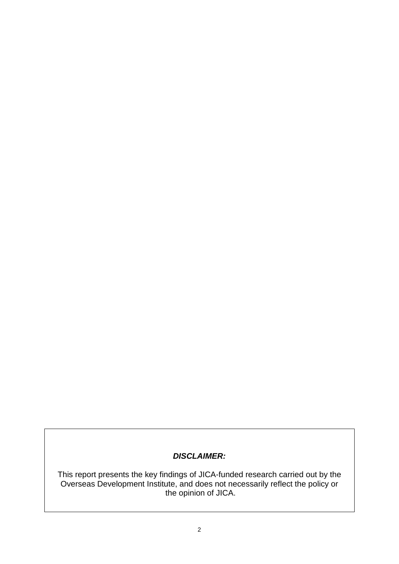### *DISCLAIMER:*

This report presents the key findings of JICA-funded research carried out by the Overseas Development Institute, and does not necessarily reflect the policy or the opinion of JICA.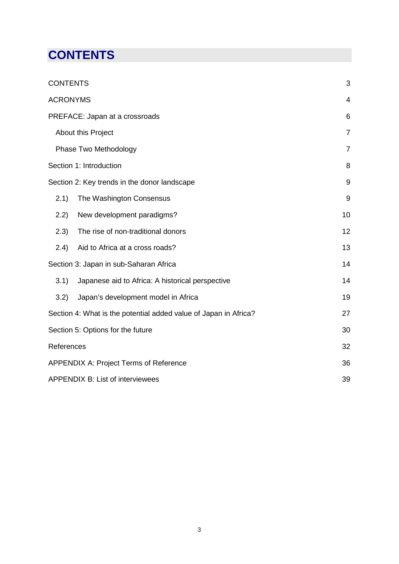# <span id="page-2-0"></span>**CONTENTS**

| <b>CONTENTS</b>                                                  | 3              |
|------------------------------------------------------------------|----------------|
| <b>ACRONYMS</b>                                                  | $\overline{4}$ |
| PREFACE: Japan at a crossroads                                   | 6              |
| About this Project                                               | $\overline{7}$ |
| Phase Two Methodology                                            | $\overline{7}$ |
| Section 1: Introduction                                          | 8              |
| Section 2: Key trends in the donor landscape                     | 9              |
| 2.1)<br>The Washington Consensus                                 | 9              |
| 2.2)<br>New development paradigms?                               | 10             |
| 2.3)<br>The rise of non-traditional donors                       | 12             |
| (2.4)<br>Aid to Africa at a cross roads?                         | 13             |
| Section 3: Japan in sub-Saharan Africa                           | 14             |
| 3.1)<br>Japanese aid to Africa: A historical perspective         | 14             |
| 3.2)<br>Japan's development model in Africa                      | 19             |
| Section 4: What is the potential added value of Japan in Africa? | 27             |
| Section 5: Options for the future                                | 30             |
| References                                                       | 32             |
| APPENDIX A: Project Terms of Reference                           | 36             |
| <b>APPENDIX B: List of interviewees</b>                          | 39             |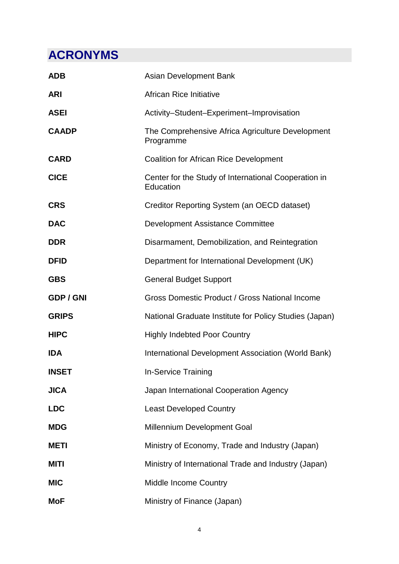# <span id="page-3-0"></span>**ACRONYMS**

| <b>ADB</b>       | <b>Asian Development Bank</b>                                     |
|------------------|-------------------------------------------------------------------|
| <b>ARI</b>       | <b>African Rice Initiative</b>                                    |
| <b>ASEI</b>      | Activity-Student-Experiment-Improvisation                         |
| <b>CAADP</b>     | The Comprehensive Africa Agriculture Development<br>Programme     |
| <b>CARD</b>      | <b>Coalition for African Rice Development</b>                     |
| <b>CICE</b>      | Center for the Study of International Cooperation in<br>Education |
| <b>CRS</b>       | Creditor Reporting System (an OECD dataset)                       |
| <b>DAC</b>       | Development Assistance Committee                                  |
| <b>DDR</b>       | Disarmament, Demobilization, and Reintegration                    |
| <b>DFID</b>      | Department for International Development (UK)                     |
| <b>GBS</b>       | <b>General Budget Support</b>                                     |
| <b>GDP / GNI</b> | Gross Domestic Product / Gross National Income                    |
| <b>GRIPS</b>     | National Graduate Institute for Policy Studies (Japan)            |
| <b>HIPC</b>      | <b>Highly Indebted Poor Country</b>                               |
| <b>IDA</b>       | International Development Association (World Bank)                |
| <b>INSET</b>     | <b>In-Service Training</b>                                        |
| <b>JICA</b>      | Japan International Cooperation Agency                            |
| <b>LDC</b>       | <b>Least Developed Country</b>                                    |
| <b>MDG</b>       | <b>Millennium Development Goal</b>                                |
| <b>METI</b>      | Ministry of Economy, Trade and Industry (Japan)                   |
| <b>MITI</b>      | Ministry of International Trade and Industry (Japan)              |
| <b>MIC</b>       | <b>Middle Income Country</b>                                      |
| <b>MoF</b>       | Ministry of Finance (Japan)                                       |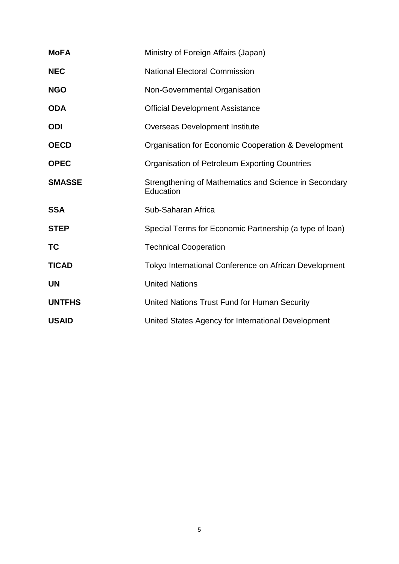| <b>MoFA</b>   | Ministry of Foreign Affairs (Japan)                                |  |  |  |
|---------------|--------------------------------------------------------------------|--|--|--|
| <b>NEC</b>    | <b>National Electoral Commission</b>                               |  |  |  |
| <b>NGO</b>    | Non-Governmental Organisation                                      |  |  |  |
| <b>ODA</b>    | <b>Official Development Assistance</b>                             |  |  |  |
| <b>ODI</b>    | <b>Overseas Development Institute</b>                              |  |  |  |
| <b>OECD</b>   | Organisation for Economic Cooperation & Development                |  |  |  |
| <b>OPEC</b>   | <b>Organisation of Petroleum Exporting Countries</b>               |  |  |  |
| <b>SMASSE</b> | Strengthening of Mathematics and Science in Secondary<br>Education |  |  |  |
| <b>SSA</b>    | Sub-Saharan Africa                                                 |  |  |  |
| <b>STEP</b>   | Special Terms for Economic Partnership (a type of loan)            |  |  |  |
| ТC            | <b>Technical Cooperation</b>                                       |  |  |  |
| <b>TICAD</b>  | Tokyo International Conference on African Development              |  |  |  |
| <b>UN</b>     | <b>United Nations</b>                                              |  |  |  |
| <b>UNTFHS</b> | United Nations Trust Fund for Human Security                       |  |  |  |
| <b>USAID</b>  | United States Agency for International Development                 |  |  |  |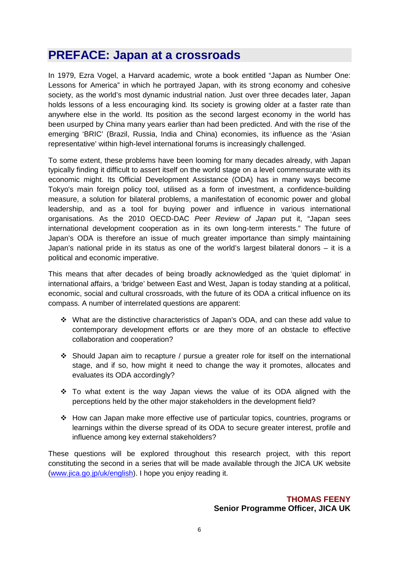### <span id="page-5-0"></span>**PREFACE: Japan at a crossroads**

In 1979, Ezra Vogel, a Harvard academic, wrote a book entitled "Japan as Number One: Lessons for America" in which he portrayed Japan, with its strong economy and cohesive society, as the world's most dynamic industrial nation. Just over three decades later, Japan holds lessons of a less encouraging kind. Its society is growing older at a faster rate than anywhere else in the world. Its position as the second largest economy in the world has been usurped by China many years earlier than had been predicted. And with the rise of the emerging 'BRIC' (Brazil, Russia, India and China) economies, its influence as the 'Asian representative' within high-level international forums is increasingly challenged.

To some extent, these problems have been looming for many decades already, with Japan typically finding it difficult to assert itself on the world stage on a level commensurate with its economic might. Its Official Development Assistance (ODA) has in many ways become Tokyo's main foreign policy tool, utilised as a form of investment, a confidence-building measure, a solution for bilateral problems, a manifestation of economic power and global leadership, and as a tool for buying power and influence in various international organisations. As the 2010 OECD-DAC *Peer Review of Japan* put it, "Japan sees international development cooperation as in its own long-term interests." The future of Japan's ODA is therefore an issue of much greater importance than simply maintaining Japan's national pride in its status as one of the world's largest bilateral donors – it is a political and economic imperative.

This means that after decades of being broadly acknowledged as the 'quiet diplomat' in international affairs, a 'bridge' between East and West, Japan is today standing at a political, economic, social and cultural crossroads, with the future of its ODA a critical influence on its compass. A number of interrelated questions are apparent:

- What are the distinctive characteristics of Japan's ODA, and can these add value to contemporary development efforts or are they more of an obstacle to effective collaboration and cooperation?
- Should Japan aim to recapture / pursue a greater role for itself on the international stage, and if so, how might it need to change the way it promotes, allocates and evaluates its ODA accordingly?
- \* To what extent is the way Japan views the value of its ODA aligned with the perceptions held by the other major stakeholders in the development field?
- How can Japan make more effective use of particular topics, countries, programs or learnings within the diverse spread of its ODA to secure greater interest, profile and influence among key external stakeholders?

These questions will be explored throughout this research project, with this report constituting the second in a series that will be made available through the JICA UK website [\(www.jica.go.jp/uk/english\)](http://www.jica.go.jp/uk/english). I hope you enjoy reading it.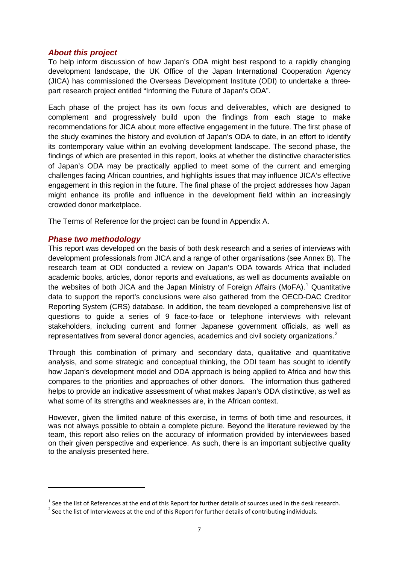#### <span id="page-6-0"></span>*About this project*

To help inform discussion of how Japan's ODA might best respond to a rapidly changing development landscape, the UK Office of the Japan International Cooperation Agency (JICA) has commissioned the Overseas Development Institute (ODI) to undertake a threepart research project entitled "Informing the Future of Japan's ODA".

Each phase of the project has its own focus and deliverables, which are designed to complement and progressively build upon the findings from each stage to make recommendations for JICA about more effective engagement in the future. The first phase of the study examines the history and evolution of Japan's ODA to date, in an effort to identify its contemporary value within an evolving development landscape. The second phase, the findings of which are presented in this report, looks at whether the distinctive characteristics of Japan's ODA may be practically applied to meet some of the current and emerging challenges facing African countries, and highlights issues that may influence JICA's effective engagement in this region in the future. The final phase of the project addresses how Japan might enhance its profile and influence in the development field within an increasingly crowded donor marketplace.

The Terms of Reference for the project can be found in Appendix A.

#### <span id="page-6-1"></span>*Phase two methodology*

**.** 

This report was developed on the basis of both desk research and a series of interviews with development professionals from JICA and a range of other organisations (see Annex B). The research team at ODI conducted a review on Japan's ODA towards Africa that included academic books, articles, donor reports and evaluations, as well as documents available on the websites of both JICA and the Japan Ministry of Foreign Affairs (MoFA).<sup>[1](#page-6-2)</sup> Quantitative data to support the report's conclusions were also gathered from the OECD-DAC Creditor Reporting System (CRS) database. In addition, the team developed a comprehensive list of questions to guide a series of 9 face-to-face or telephone interviews with relevant stakeholders, including current and former Japanese government officials, as well as representatives from several donor agencies, academics and civil society organizations.<sup>[2](#page-6-3)</sup>

Through this combination of primary and secondary data, qualitative and quantitative analysis, and some strategic and conceptual thinking, the ODI team has sought to identify how Japan's development model and ODA approach is being applied to Africa and how this compares to the priorities and approaches of other donors. The information thus gathered helps to provide an indicative assessment of what makes Japan's ODA distinctive, as well as what some of its strengths and weaknesses are, in the African context.

However, given the limited nature of this exercise, in terms of both time and resources, it was not always possible to obtain a complete picture. Beyond the literature reviewed by the team, this report also relies on the accuracy of information provided by interviewees based on their given perspective and experience. As such, there is an important subjective quality to the analysis presented here.

<span id="page-6-2"></span><sup>&</sup>lt;sup>1</sup> See the list of References at the end of this Report for further details of sources used in the desk research.<br><sup>2</sup> See the list of Interviewees at the end of this Report for further details of contributing individuals

<span id="page-6-3"></span>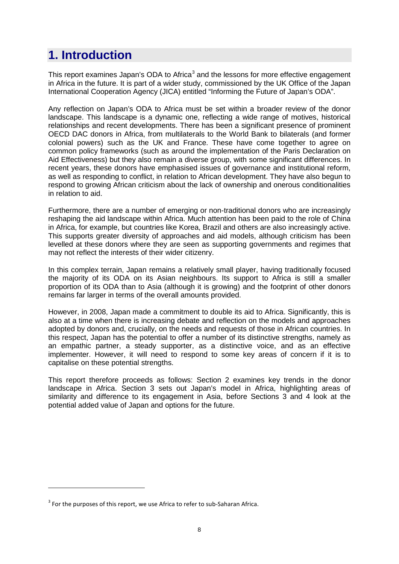# <span id="page-7-0"></span>**1. Introduction**

This report examines Japan's ODA to Africa<sup>[3](#page-7-1)</sup> and the lessons for more effective engagement in Africa in the future. It is part of a wider study, commissioned by the UK Office of the Japan International Cooperation Agency (JICA) entitled "Informing the Future of Japan's ODA".

Any reflection on Japan's ODA to Africa must be set within a broader review of the donor landscape. This landscape is a dynamic one, reflecting a wide range of motives, historical relationships and recent developments. There has been a significant presence of prominent OECD DAC donors in Africa, from multilaterals to the World Bank to bilaterals (and former colonial powers) such as the UK and France. These have come together to agree on common policy frameworks (such as around the implementation of the Paris Declaration on Aid Effectiveness) but they also remain a diverse group, with some significant differences. In recent years, these donors have emphasised issues of governance and institutional reform, as well as responding to conflict, in relation to African development. They have also begun to respond to growing African criticism about the lack of ownership and onerous conditionalities in relation to aid.

Furthermore, there are a number of emerging or non-traditional donors who are increasingly reshaping the aid landscape within Africa. Much attention has been paid to the role of China in Africa, for example, but countries like Korea, Brazil and others are also increasingly active. This supports greater diversity of approaches and aid models, although criticism has been levelled at these donors where they are seen as supporting governments and regimes that may not reflect the interests of their wider citizenry.

In this complex terrain, Japan remains a relatively small player, having traditionally focused the majority of its ODA on its Asian neighbours. Its support to Africa is still a smaller proportion of its ODA than to Asia (although it is growing) and the footprint of other donors remains far larger in terms of the overall amounts provided.

However, in 2008, Japan made a commitment to double its aid to Africa. Significantly, this is also at a time when there is increasing debate and reflection on the models and approaches adopted by donors and, crucially, on the needs and requests of those in African countries. In this respect, Japan has the potential to offer a number of its distinctive strengths, namely as an empathic partner, a steady supporter, as a distinctive voice, and as an effective implementer. However, it will need to respond to some key areas of concern if it is to capitalise on these potential strengths.

This report therefore proceeds as follows: Section 2 examines key trends in the donor landscape in Africa. Section 3 sets out Japan's model in Africa, highlighting areas of similarity and difference to its engagement in Asia, before Sections 3 and 4 look at the potential added value of Japan and options for the future.

**.** 

<span id="page-7-1"></span> $3$  For the purposes of this report, we use Africa to refer to sub-Saharan Africa.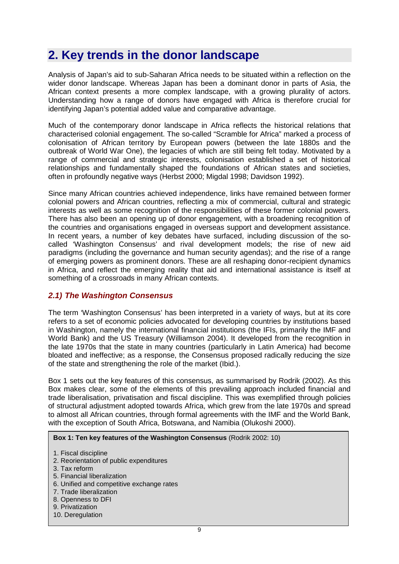### <span id="page-8-0"></span>**2. Key trends in the donor landscape**

Analysis of Japan's aid to sub-Saharan Africa needs to be situated within a reflection on the wider donor landscape. Whereas Japan has been a dominant donor in parts of Asia, the African context presents a more complex landscape, with a growing plurality of actors. Understanding how a range of donors have engaged with Africa is therefore crucial for identifying Japan's potential added value and comparative advantage.

Much of the contemporary donor landscape in Africa reflects the historical relations that characterised colonial engagement. The so-called "Scramble for Africa" marked a process of colonisation of African territory by European powers (between the late 1880s and the outbreak of World War One), the legacies of which are still being felt today. Motivated by a range of commercial and strategic interests, colonisation established a set of historical relationships and fundamentally shaped the foundations of African states and societies, often in profoundly negative ways (Herbst 2000; Migdal 1998; Davidson 1992).

Since many African countries achieved independence, links have remained between former colonial powers and African countries, reflecting a mix of commercial, cultural and strategic interests as well as some recognition of the responsibilities of these former colonial powers. There has also been an opening up of donor engagement, with a broadening recognition of the countries and organisations engaged in overseas support and development assistance. In recent years, a number of key debates have surfaced, including discussion of the socalled 'Washington Consensus' and rival development models; the rise of new aid paradigms (including the governance and human security agendas); and the rise of a range of emerging powers as prominent donors. These are all reshaping donor-recipient dynamics in Africa, and reflect the emerging reality that aid and international assistance is itself at something of a crossroads in many African contexts.

#### <span id="page-8-1"></span>*2.1) The Washington Consensus*

The term 'Washington Consensus' has been interpreted in a variety of ways, but at its core refers to a set of economic policies advocated for developing countries by institutions based in Washington, namely the international financial institutions (the IFIs, primarily the IMF and World Bank) and the US Treasury (Williamson 2004). It developed from the recognition in the late 1970s that the state in many countries (particularly in Latin America) had become bloated and ineffective; as a response, the Consensus proposed radically reducing the size of the state and strengthening the role of the market (Ibid.).

Box 1 sets out the key features of this consensus, as summarised by Rodrik (2002). As this Box makes clear, some of the elements of this prevailing approach included financial and trade liberalisation, privatisation and fiscal discipline. This was exemplified through policies of structural adjustment adopted towards Africa, which grew from the late 1970s and spread to almost all African countries, through formal agreements with the IMF and the World Bank, with the exception of South Africa, Botswana, and Namibia (Olukoshi 2000).

**Box 1: Ten key features of the Washington Consensus** (Rodrik 2002: 10)

- 1. Fiscal discipline
- 2. Reorientation of public expenditures
- 3. Tax reform
- 5. Financial liberalization
- 6. Unified and competitive exchange rates
- 7. Trade liberalization
- 8. Openness to DFI
- 9. Privatization
- 10. Deregulation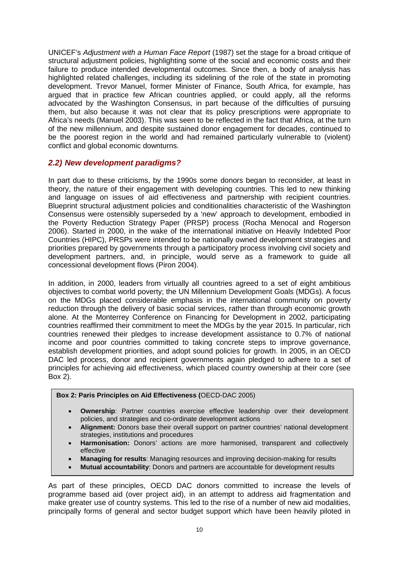UNICEF's *Adjustment with a Human Face Report* (1987) set the stage for a broad critique of structural adjustment policies, highlighting some of the social and economic costs and their failure to produce intended developmental outcomes. Since then, a body of analysis has highlighted related challenges, including its sidelining of the role of the state in promoting development. Trevor Manuel, former Minister of Finance, South Africa, for example, has argued that in practice few African countries applied, or could apply, all the reforms advocated by the Washington Consensus, in part because of the difficulties of pursuing them, but also because it was not clear that its policy prescriptions were appropriate to Africa's needs (Manuel 2003). This was seen to be reflected in the fact that Africa, at the turn of the new millennium, and despite sustained donor engagement for decades, continued to be the poorest region in the world and had remained particularly vulnerable to (violent) conflict and global economic downturns.

#### <span id="page-9-0"></span>*2.2) New development paradigms?*

In part due to these criticisms, by the 1990s some donors began to reconsider, at least in theory, the nature of their engagement with developing countries. This led to new thinking and language on issues of aid effectiveness and partnership with recipient countries. Blueprint structural adjustment policies and conditionalities characteristic of the Washington Consensus were ostensibly superseded by a 'new' approach to development, embodied in the Poverty Reduction Strategy Paper (PRSP) process (Rocha Menocal and Rogerson 2006). Started in 2000, in the wake of the international initiative on Heavily Indebted Poor Countries (HIPC), PRSPs were intended to be nationally owned development strategies and priorities prepared by governments through a participatory process involving civil society and development partners, and, in principle, would serve as a framework to guide all concessional development flows (Piron 2004).

In addition, in 2000, leaders from virtually all countries agreed to a set of eight ambitious objectives to combat world poverty; the UN Millennium Development Goals (MDGs). A focus on the MDGs placed considerable emphasis in the international community on poverty reduction through the delivery of basic social services, rather than through economic growth alone. At the Monterrey Conference on Financing for Development in 2002, participating countries reaffirmed their commitment to meet the MDGs by the year 2015. In particular, rich countries renewed their pledges to increase development assistance to 0.7% of national income and poor countries committed to taking concrete steps to improve governance, establish development priorities, and adopt sound policies for growth. In 2005, in an OECD DAC led process, donor and recipient governments again pledged to adhere to a set of principles for achieving aid effectiveness, which placed country ownership at their core (see Box 2).

#### **Box 2: Paris Principles on Aid Effectiveness (**OECD-DAC 2005)

- **Ownership:** Partner countries exercise effective leadership over their development policies, and strategies and co-ordinate development actions
- **Alignment:** Donors base their overall support on partner countries' national development strategies, institutions and procedures
- **Harmonisation:** Donors' actions are more harmonised, transparent and collectively effective
- **Managing for results**: Managing resources and improving decision-making for results
- **Mutual accountability**: Donors and partners are accountable for development results

As part of these principles, OECD DAC donors committed to increase the levels of programme based aid (over project aid), in an attempt to address aid fragmentation and make greater use of country systems. This led to the rise of a number of new aid modalities, principally forms of general and sector budget support which have been heavily piloted in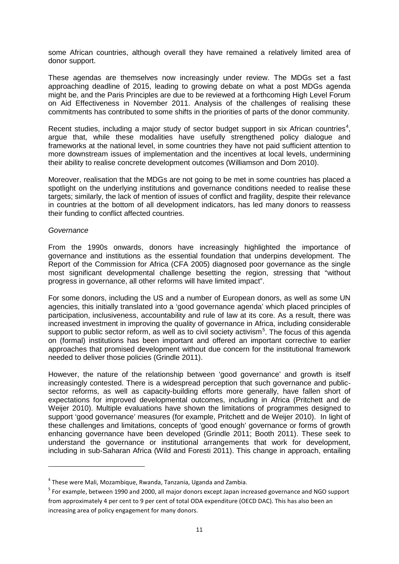some African countries, although overall they have remained a relatively limited area of donor support.

These agendas are themselves now increasingly under review. The MDGs set a fast approaching deadline of 2015, leading to growing debate on what a post MDGs agenda might be, and the Paris Principles are due to be reviewed at a forthcoming High Level Forum on Aid Effectiveness in November 2011. Analysis of the challenges of realising these commitments has contributed to some shifts in the priorities of parts of the donor community.

Recent studies, including a major study of sector budget support in six African countries<sup>[4](#page-10-0)</sup>, argue that, while these modalities have usefully strengthened policy dialogue and frameworks at the national level, in some countries they have not paid sufficient attention to more downstream issues of implementation and the incentives at local levels, undermining their ability to realise concrete development outcomes (Williamson and Dom 2010).

Moreover, realisation that the MDGs are not going to be met in some countries has placed a spotlight on the underlying institutions and governance conditions needed to realise these targets; similarly, the lack of mention of issues of conflict and fragility, despite their relevance in countries at the bottom of all development indicators, has led many donors to reassess their funding to conflict affected countries.

#### *Governance*

 $\overline{a}$ 

From the 1990s onwards, donors have increasingly highlighted the importance of governance and institutions as the essential foundation that underpins development. The Report of the Commission for Africa (CFA 2005) diagnosed poor governance as the single most significant developmental challenge besetting the region, stressing that "without progress in governance, all other reforms will have limited impact".

For some donors, including the US and a number of European donors, as well as some UN agencies, this initially translated into a 'good governance agenda' which placed principles of participation, inclusiveness, accountability and rule of law at its core. As a result, there was increased investment in improving the quality of governance in Africa, including considerable support to public sector reform, as well as to civil society activism<sup>[5](#page-10-1)</sup>. The focus of this agenda on (formal) institutions has been important and offered an important corrective to earlier approaches that promised development without due concern for the institutional framework needed to deliver those policies (Grindle 2011).

However, the nature of the relationship between 'good governance' and growth is itself increasingly contested. There is a widespread perception that such governance and publicsector reforms, as well as capacity-building efforts more generally, have fallen short of expectations for improved developmental outcomes, including in Africa (Pritchett and de Weijer 2010). Multiple evaluations have shown the limitations of programmes designed to support 'good governance' measures (for example, Pritchett and de Weijer 2010). In light of these challenges and limitations, concepts of 'good enough' governance or forms of growth enhancing governance have been developed (Grindle 2011; Booth 2011). These seek to understand the governance or institutional arrangements that work for development, including in sub-Saharan Africa (Wild and Foresti 2011). This change in approach, entailing

<span id="page-10-0"></span> $4$  These were Mali, Mozambique, Rwanda, Tanzania, Uganda and Zambia.

<span id="page-10-1"></span><sup>5</sup> For example, between 1990 and 2000, all major donors except Japan increased governance and NGO support from approximately 4 per cent to 9 per cent of total ODA expenditure (OECD DAC). This has also been an increasing area of policy engagement for many donors.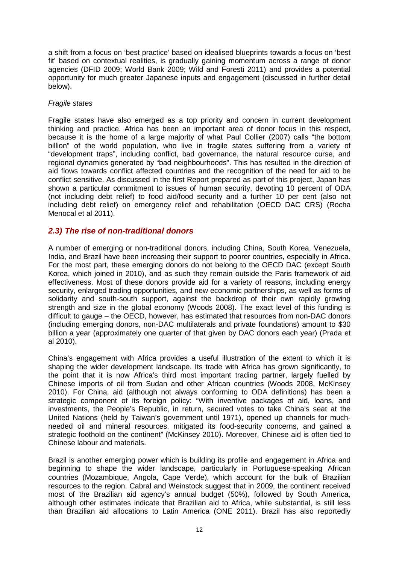a shift from a focus on 'best practice' based on idealised blueprints towards a focus on 'best fit' based on contextual realities, is gradually gaining momentum across a range of donor agencies (DFID 2009; World Bank 2009; Wild and Foresti 2011) and provides a potential opportunity for much greater Japanese inputs and engagement (discussed in further detail below).

#### *Fragile states*

Fragile states have also emerged as a top priority and concern in current development thinking and practice. Africa has been an important area of donor focus in this respect, because it is the home of a large majority of what Paul Collier (2007) calls "the bottom billion" of the world population, who live in fragile states suffering from a variety of "development traps", including conflict, bad governance, the natural resource curse, and regional dynamics generated by "bad neighbourhoods". This has resulted in the direction of aid flows towards conflict affected countries and the recognition of the need for aid to be conflict sensitive. As discussed in the first Report prepared as part of this project, Japan has shown a particular commitment to issues of human security, devoting 10 percent of ODA (not including debt relief) to food aid/food security and a further 10 per cent (also not including debt relief) on emergency relief and rehabilitation (OECD DAC CRS) (Rocha Menocal et al 2011).

#### <span id="page-11-0"></span>*2.3) The rise of non-traditional donors*

A number of emerging or non-traditional donors, including China, South Korea, Venezuela, India, and Brazil have been increasing their support to poorer countries, especially in Africa. For the most part, these emerging donors do not belong to the OECD DAC (except South Korea, which joined in 2010), and as such they remain outside the Paris framework of aid effectiveness. Most of these donors provide aid for a variety of reasons, including energy security, enlarged trading opportunities, and new economic partnerships, as well as forms of solidarity and south-south support, against the backdrop of their own rapidly growing strength and size in the global economy (Woods 2008). The exact level of this funding is difficult to gauge – the OECD, however, has estimated that resources from non-DAC donors (including emerging donors, non-DAC multilaterals and private foundations) amount to \$30 billion a year (approximately one quarter of that given by DAC donors each year) (Prada et al 2010).

China's engagement with Africa provides a useful illustration of the extent to which it is shaping the wider development landscape. Its trade with Africa has grown significantly, to the point that it is now Africa's third most important trading partner, largely fuelled by Chinese imports of oil from Sudan and other African countries (Woods 2008, McKinsey 2010). For China, aid (although not always conforming to ODA definitions) has been a strategic component of its foreign policy: "With inventive packages of aid, loans, and investments, the People's Republic, in return, secured votes to take China's seat at the United Nations (held by Taiwan's government until 1971), opened up channels for muchneeded oil and mineral resources, mitigated its food-security concerns, and gained a strategic foothold on the continent" (McKinsey 2010). Moreover, Chinese aid is often tied to Chinese labour and materials.

Brazil is another emerging power which is building its profile and engagement in Africa and beginning to shape the wider landscape, particularly in Portuguese-speaking African countries (Mozambique, Angola, Cape Verde), which account for the bulk of Brazilian resources to the region. Cabral and Weinstock suggest that in 2009, the continent received most of the Brazilian aid agency's annual budget (50%), followed by South America, although other estimates indicate that Brazilian aid to Africa, while substantial, is still less than Brazilian aid allocations to Latin America (ONE 2011). Brazil has also reportedly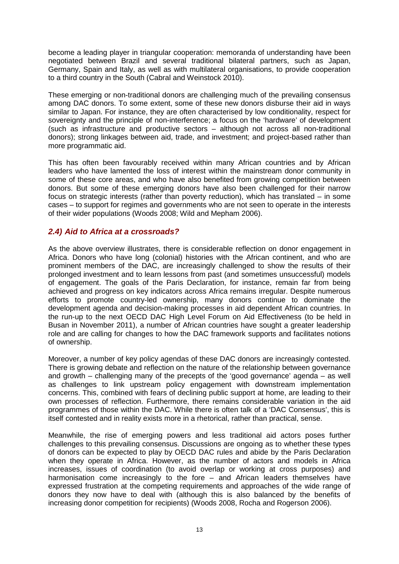become a leading player in triangular cooperation: memoranda of understanding have been negotiated between Brazil and several traditional bilateral partners, such as Japan, Germany, Spain and Italy, as well as with multilateral organisations, to provide cooperation to a third country in the South (Cabral and Weinstock 2010).

These emerging or non-traditional donors are challenging much of the prevailing consensus among DAC donors. To some extent, some of these new donors disburse their aid in ways similar to Japan. For instance, they are often characterised by low conditionality, respect for sovereignty and the principle of non-interference; a focus on the 'hardware' of development (such as infrastructure and productive sectors – although not across all non-traditional donors); strong linkages between aid, trade, and investment; and project-based rather than more programmatic aid.

This has often been favourably received within many African countries and by African leaders who have lamented the loss of interest within the mainstream donor community in some of these core areas, and who have also benefited from growing competition between donors. But some of these emerging donors have also been challenged for their narrow focus on strategic interests (rather than poverty reduction), which has translated – in some cases – to support for regimes and governments who are not seen to operate in the interests of their wider populations (Woods 2008; Wild and Mepham 2006).

#### <span id="page-12-0"></span>*2.4) Aid to Africa at a crossroads?*

As the above overview illustrates, there is considerable reflection on donor engagement in Africa. Donors who have long (colonial) histories with the African continent, and who are prominent members of the DAC, are increasingly challenged to show the results of their prolonged investment and to learn lessons from past (and sometimes unsuccessful) models of engagement. The goals of the Paris Declaration, for instance, remain far from being achieved and progress on key indicators across Africa remains irregular. Despite numerous efforts to promote country-led ownership, many donors continue to dominate the development agenda and decision-making processes in aid dependent African countries. In the run-up to the next OECD DAC High Level Forum on Aid Effectiveness (to be held in Busan in November 2011), a number of African countries have sought a greater leadership role and are calling for changes to how the DAC framework supports and facilitates notions of ownership.

Moreover, a number of key policy agendas of these DAC donors are increasingly contested. There is growing debate and reflection on the nature of the relationship between governance and growth – challenging many of the precepts of the 'good governance' agenda – as well as challenges to link upstream policy engagement with downstream implementation concerns. This, combined with fears of declining public support at home, are leading to their own processes of reflection. Furthermore, there remains considerable variation in the aid programmes of those within the DAC. While there is often talk of a 'DAC Consensus', this is itself contested and in reality exists more in a rhetorical, rather than practical, sense.

Meanwhile, the rise of emerging powers and less traditional aid actors poses further challenges to this prevailing consensus. Discussions are ongoing as to whether these types of donors can be expected to play by OECD DAC rules and abide by the Paris Declaration when they operate in Africa. However, as the number of actors and models in Africa increases, issues of coordination (to avoid overlap or working at cross purposes) and harmonisation come increasingly to the fore – and African leaders themselves have expressed frustration at the competing requirements and approaches of the wide range of donors they now have to deal with (although this is also balanced by the benefits of increasing donor competition for recipients) (Woods 2008, Rocha and Rogerson 2006).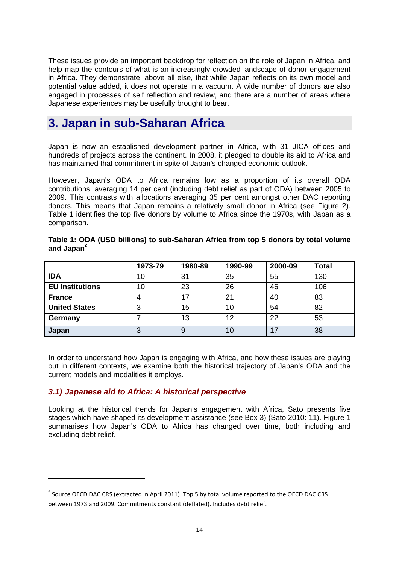These issues provide an important backdrop for reflection on the role of Japan in Africa, and help map the contours of what is an increasingly crowded landscape of donor engagement in Africa. They demonstrate, above all else, that while Japan reflects on its own model and potential value added, it does not operate in a vacuum. A wide number of donors are also engaged in processes of self reflection and review, and there are a number of areas where Japanese experiences may be usefully brought to bear.

### <span id="page-13-0"></span>**3. Japan in sub-Saharan Africa**

Japan is now an established development partner in Africa, with 31 JICA offices and hundreds of projects across the continent. In 2008, it pledged to double its aid to Africa and has maintained that commitment in spite of Japan's changed economic outlook.

However, Japan's ODA to Africa remains low as a proportion of its overall ODA contributions, averaging 14 per cent (including debt relief as part of ODA) between 2005 to 2009. This contrasts with allocations averaging 35 per cent amongst other DAC reporting donors. This means that Japan remains a relatively small donor in Africa (see Figure 2). Table 1 identifies the top five donors by volume to Africa since the 1970s, with Japan as a comparison.

|                        | 1973-79 | 1980-89 | 1990-99 | 2000-09 | <b>Total</b> |
|------------------------|---------|---------|---------|---------|--------------|
| <b>IDA</b>             | 10      | 31      | 35      | 55      | 130          |
| <b>EU Institutions</b> | 10      | 23      | 26      | 46      | 106          |
| <b>France</b>          | 4       | 17      | 21      | 40      | 83           |
| <b>United States</b>   | 3       | 15      | 10      | 54      | 82           |
| Germany                |         | 13      | 12      | 22      | 53           |
| Japan                  | 3       | 9       | 10      | 17      | 38           |

| Table 1: ODA (USD billions) to sub-Saharan Africa from top 5 donors by total volume |  |  |  |
|-------------------------------------------------------------------------------------|--|--|--|
| and Japan <sup>6</sup>                                                              |  |  |  |

In order to understand how Japan is engaging with Africa, and how these issues are playing out in different contexts, we examine both the historical trajectory of Japan's ODA and the current models and modalities it employs.

#### <span id="page-13-1"></span>*3.1) Japanese aid to Africa: A historical perspective*

**.** 

Looking at the historical trends for Japan's engagement with Africa, Sato presents five stages which have shaped its development assistance (see Box 3) (Sato 2010: 11). Figure 1 summarises how Japan's ODA to Africa has changed over time, both including and excluding debt relief.

<span id="page-13-2"></span><sup>&</sup>lt;sup>6</sup> Source OECD DAC CRS (extracted in April 2011). Top 5 by total volume reported to the OECD DAC CRS between 1973 and 2009. Commitments constant (deflated). Includes debt relief.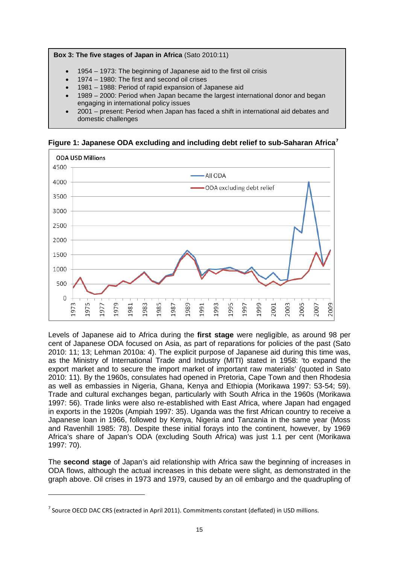

- 1954 1973: The beginning of Japanese aid to the first oil crisis
- 1974 1980: The first and second oil crises
- 1981 1988: Period of rapid expansion of Japanese aid
- 1989 2000: Period when Japan became the largest international donor and began engaging in international policy issues
- 2001 present: Period when Japan has faced a shift in international aid debates and domestic challenges

**Figure 1: Japanese ODA excluding and including debt relief to sub-Saharan Africa[7](#page-14-0)**



Levels of Japanese aid to Africa during the **first stage** were negligible, as around 98 per cent of Japanese ODA focused on Asia, as part of reparations for policies of the past (Sato 2010: 11; 13; Lehman 2010a: 4). The explicit purpose of Japanese aid during this time was, as the Ministry of International Trade and Industry (MITI) stated in 1958: 'to expand the export market and to secure the import market of important raw materials' (quoted in Sato 2010: 11). By the 1960s, consulates had opened in Pretoria, Cape Town and then Rhodesia as well as embassies in Nigeria, Ghana, Kenya and Ethiopia (Morikawa 1997: 53-54; 59). Trade and cultural exchanges began, particularly with South Africa in the 1960s (Morikawa 1997: 56). Trade links were also re-established with East Africa, where Japan had engaged in exports in the 1920s (Ampiah 1997: 35). Uganda was the first African country to receive a Japanese loan in 1966, followed by Kenya, Nigeria and Tanzania in the same year (Moss and Ravenhill 1985: 78). Despite these initial forays into the continent, however, by 1969 Africa's share of Japan's ODA (excluding South Africa) was just 1.1 per cent (Morikawa 1997: 70).

The **second stage** of Japan's aid relationship with Africa saw the beginning of increases in ODA flows, although the actual increases in this debate were slight, as demonstrated in the graph above. Oil crises in 1973 and 1979, caused by an oil embargo and the quadrupling of

**.** 

<span id="page-14-0"></span> $<sup>7</sup>$  Source OECD DAC CRS (extracted in April 2011). Commitments constant (deflated) in USD millions.</sup>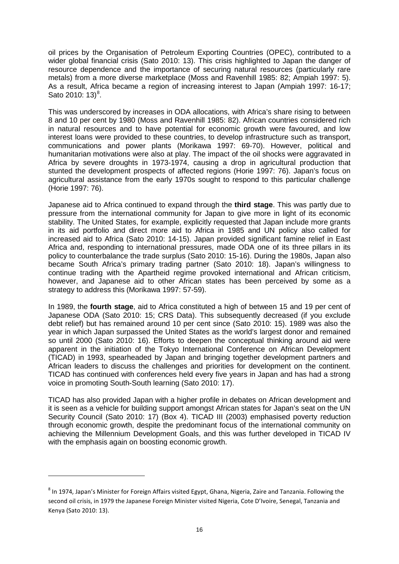oil prices by the Organisation of Petroleum Exporting Countries (OPEC), contributed to a wider global financial crisis (Sato 2010: 13). This crisis highlighted to Japan the danger of resource dependence and the importance of securing natural resources (particularly rare metals) from a more diverse marketplace (Moss and Ravenhill 1985: 82; Ampiah 1997: 5). As a result, Africa became a region of increasing interest to Japan (Ampiah 1997: 16-17; Sato 2010:  $13)^8$  $13)^8$ .

This was underscored by increases in ODA allocations, with Africa's share rising to between 8 and 10 per cent by 1980 (Moss and Ravenhill 1985: 82). African countries considered rich in natural resources and to have potential for economic growth were favoured, and low interest loans were provided to these countries, to develop infrastructure such as transport, communications and power plants (Morikawa 1997: 69-70). However, political and humanitarian motivations were also at play. The impact of the oil shocks were aggravated in Africa by severe droughts in 1973-1974, causing a drop in agricultural production that stunted the development prospects of affected regions (Horie 1997: 76). Japan's focus on agricultural assistance from the early 1970s sought to respond to this particular challenge (Horie 1997: 76).

Japanese aid to Africa continued to expand through the **third stage**. This was partly due to pressure from the international community for Japan to give more in light of its economic stability. The United States, for example, explicitly requested that Japan include more grants in its aid portfolio and direct more aid to Africa in 1985 and UN policy also called for increased aid to Africa (Sato 2010: 14-15). Japan provided significant famine relief in East Africa and, responding to international pressures, made ODA one of its three pillars in its policy to counterbalance the trade surplus (Sato 2010: 15-16). During the 1980s, Japan also became South Africa's primary trading partner (Sato 2010: 18). Japan's willingness to continue trading with the Apartheid regime provoked international and African criticism, however, and Japanese aid to other African states has been perceived by some as a strategy to address this (Morikawa 1997: 57-59).

In 1989, the **fourth stage**, aid to Africa constituted a high of between 15 and 19 per cent of Japanese ODA (Sato 2010: 15; CRS Data). This subsequently decreased (if you exclude debt relief) but has remained around 10 per cent since (Sato 2010: 15). 1989 was also the year in which Japan surpassed the United States as the world's largest donor and remained so until 2000 (Sato 2010: 16). Efforts to deepen the conceptual thinking around aid were apparent in the initiation of the Tokyo International Conference on African Development (TICAD) in 1993, spearheaded by Japan and bringing together development partners and African leaders to discuss the challenges and priorities for development on the continent. TICAD has continued with conferences held every five years in Japan and has had a strong voice in promoting South-South learning (Sato 2010: 17).

TICAD has also provided Japan with a higher profile in debates on African development and it is seen as a vehicle for building support amongst African states for Japan's seat on the UN Security Council (Sato 2010: 17) (Box 4). TICAD III (2003) emphasised poverty reduction through economic growth, despite the predominant focus of the international community on achieving the Millennium Development Goals, and this was further developed in TICAD IV with the emphasis again on boosting economic growth.

**.** 

<span id="page-15-0"></span><sup>&</sup>lt;sup>8</sup> In 1974, Japan's Minister for Foreign Affairs visited Egypt, Ghana, Nigeria, Zaire and Tanzania. Following the second oil crisis, in 1979 the Japanese Foreign Minister visited Nigeria, Cote D'Ivoire, Senegal, Tanzania and Kenya (Sato 2010: 13).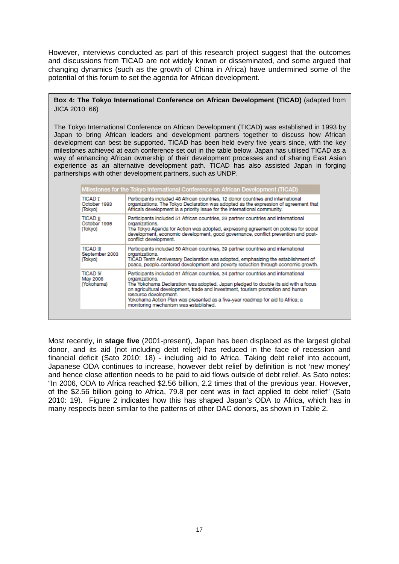However, interviews conducted as part of this research project suggest that the outcomes and discussions from TICAD are not widely known or disseminated, and some argued that changing dynamics (such as the growth of China in Africa) have undermined some of the potential of this forum to set the agenda for African development.

#### **Box 4: The Tokyo International Conference on African Development (TICAD)** (adapted from JICA 2010: 66)

The Tokyo International Conference on African Development (TICAD) was established in 1993 by Japan to bring African leaders and development partners together to discuss how African development can best be supported. TICAD has been held every five years since, with the key milestones achieved at each conference set out in the table below. Japan has utilised TICAD as a way of enhancing African ownership of their development processes and of sharing East Asian experience as an alternative development path. TICAD has also assisted Japan in forging partnerships with other development partners, such as UNDP.

| <b>TICAD T</b><br>October 1993<br>(Tokyo)     | Participants included 48 African countries, 12 donor countries and international<br>organizations. The Tokyo Declaration was adopted as the expression of agreement that<br>Africa's development is a priority issue for the international community.                                                                                                                                                                            |
|-----------------------------------------------|----------------------------------------------------------------------------------------------------------------------------------------------------------------------------------------------------------------------------------------------------------------------------------------------------------------------------------------------------------------------------------------------------------------------------------|
| <b>TICAD TT</b><br>October 1998<br>(Tokyo)    | Participants included 51 African countries, 29 partner countries and international<br>organizations.<br>The Tokyo Agenda for Action was adopted, expressing agreement on policies for social<br>development, economic development, good governance, conflict prevention and post-<br>conflict development.                                                                                                                       |
| <b>TICAD</b> III<br>September 2003<br>(Tokyo) | Participants included 50 African countries, 39 partner countries and international<br>organizations.<br>TICAD Tenth Anniversary Declaration was adopted, emphasizing the establishment of<br>peace, people-centered development and poverty reduction through economic growth.                                                                                                                                                   |
| <b>TICAD IV</b><br>May 2008<br>(Yokohama)     | Participants included 51 African countries, 34 partner countries and international<br>organizations.<br>The Yokohama Declaration was adopted. Japan pledged to double its aid with a focus<br>on agricultural development, trade and investment, tourism promotion and human<br>resource development.<br>Yokohama Action Plan was presented as a five-year roadmap for aid to Africa; a<br>monitoring mechanism was established. |

Most recently, in **stage five** (2001-present), Japan has been displaced as the largest global donor, and its aid (not including debt relief) has reduced in the face of recession and financial deficit (Sato 2010: 18) - including aid to Africa. Taking debt relief into account, Japanese ODA continues to increase, however debt relief by definition is not 'new money' and hence close attention needs to be paid to aid flows outside of debt relief. As Sato notes: "In 2006, ODA to Africa reached \$2.56 billion, 2.2 times that of the previous year. However, of the \$2.56 billion going to Africa, 79.8 per cent was in fact applied to debt relief" (Sato 2010: 19). Figure 2 indicates how this has shaped Japan's ODA to Africa, which has in many respects been similar to the patterns of other DAC donors, as shown in Table 2.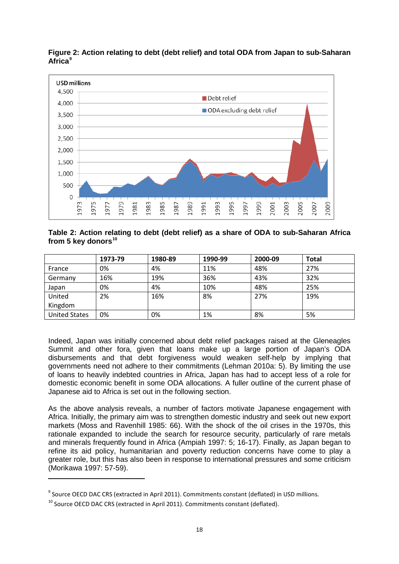

**Figure 2: Action relating to debt (debt relief) and total ODA from Japan to sub-Saharan Africa[9](#page-17-0)**

#### **Table 2: Action relating to debt (debt relief) as a share of ODA to sub-Saharan Africa from 5 key donors[10](#page-17-1)**

|                      | 1973-79 | 1980-89 | 1990-99 | 2000-09 | <b>Total</b> |
|----------------------|---------|---------|---------|---------|--------------|
| France               | 0%      | 4%      | 11%     | 48%     | 27%          |
| Germany              | 16%     | 19%     | 36%     | 43%     | 32%          |
| Japan                | 0%      | 4%      | 10%     | 48%     | 25%          |
| United               | 2%      | 16%     | 8%      | 27%     | 19%          |
| Kingdom              |         |         |         |         |              |
| <b>United States</b> | 0%      | 0%      | 1%      | 8%      | 5%           |

Indeed, Japan was initially concerned about debt relief packages raised at the Gleneagles Summit and other fora, given that loans make up a large portion of Japan's ODA disbursements and that debt forgiveness would weaken self-help by implying that governments need not adhere to their commitments (Lehman 2010a: 5). By limiting the use of loans to heavily indebted countries in Africa, Japan has had to accept less of a role for domestic economic benefit in some ODA allocations. A fuller outline of the current phase of Japanese aid to Africa is set out in the following section.

As the above analysis reveals, a number of factors motivate Japanese engagement with Africa. Initially, the primary aim was to strengthen domestic industry and seek out new export markets (Moss and Ravenhill 1985: 66). With the shock of the oil crises in the 1970s, this rationale expanded to include the search for resource security, particularly of rare metals and minerals frequently found in Africa (Ampiah 1997: 5; 16-17). Finally, as Japan began to refine its aid policy, humanitarian and poverty reduction concerns have come to play a greater role, but this has also been in response to international pressures and some criticism (Morikawa 1997: 57-59).

**.** 

<span id="page-17-0"></span><sup>&</sup>lt;sup>9</sup> Source OECD DAC CRS (extracted in April 2011). Commitments constant (deflated) in USD millions.

<span id="page-17-1"></span> $10$  Source OECD DAC CRS (extracted in April 2011). Commitments constant (deflated).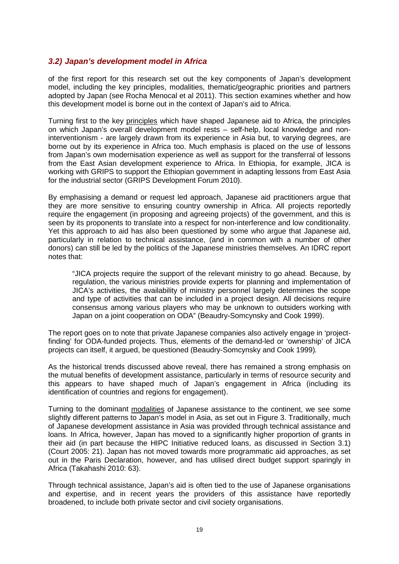#### <span id="page-18-0"></span>*3.2) Japan's development model in Africa*

of the first report for this research set out the key components of Japan's development model, including the key principles, modalities, thematic/geographic priorities and partners adopted by Japan (see Rocha Menocal et al 2011). This section examines whether and how this development model is borne out in the context of Japan's aid to Africa.

Turning first to the key principles which have shaped Japanese aid to Africa, the principles on which Japan's overall development model rests – self-help, local knowledge and noninterventionism - are largely drawn from its experience in Asia but, to varying degrees, are borne out by its experience in Africa too. Much emphasis is placed on the use of lessons from Japan's own modernisation experience as well as support for the transferral of lessons from the East Asian development experience to Africa. In Ethiopia, for example, JICA is working with GRIPS to support the Ethiopian government in adapting lessons from East Asia for the industrial sector (GRIPS Development Forum 2010).

By emphasising a demand or request led approach, Japanese aid practitioners argue that they are more sensitive to ensuring country ownership in Africa. All projects reportedly require the engagement (in proposing and agreeing projects) of the government, and this is seen by its proponents to translate into a respect for non-interference and low conditionality. Yet this approach to aid has also been questioned by some who argue that Japanese aid, particularly in relation to technical assistance, (and in common with a number of other donors) can still be led by the politics of the Japanese ministries themselves. An IDRC report notes that:

"JICA projects require the support of the relevant ministry to go ahead. Because, by regulation, the various ministries provide experts for planning and implementation of JICA's activities, the availability of ministry personnel largely determines the scope and type of activities that can be included in a project design. All decisions require consensus among various players who may be unknown to outsiders working with Japan on a joint cooperation on ODA" (Beaudry-Somcynsky and Cook 1999).

The report goes on to note that private Japanese companies also actively engage in 'projectfinding' for ODA-funded projects. Thus, elements of the demand-led or 'ownership' of JICA projects can itself, it argued, be questioned (Beaudry-Somcynsky and Cook 1999)*.* 

As the historical trends discussed above reveal, there has remained a strong emphasis on the mutual benefits of development assistance, particularly in terms of resource security and this appears to have shaped much of Japan's engagement in Africa (including its identification of countries and regions for engagement).

Turning to the dominant modalities of Japanese assistance to the continent, we see some slightly different patterns to Japan's model in Asia, as set out in Figure 3. Traditionally, much of Japanese development assistance in Asia was provided through technical assistance and loans. In Africa, however, Japan has moved to a significantly higher proportion of grants in their aid (in part because the HIPC Initiative reduced loans, as discussed in Section 3.1) (Court 2005: 21). Japan has not moved towards more programmatic aid approaches, as set out in the Paris Declaration, however, and has utilised direct budget support sparingly in Africa (Takahashi 2010: 63).

Through technical assistance, Japan's aid is often tied to the use of Japanese organisations and expertise, and in recent years the providers of this assistance have reportedly broadened, to include both private sector and civil society organisations.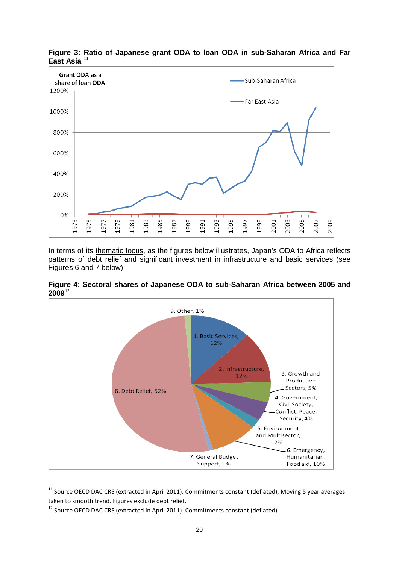

**Figure 3: Ratio of Japanese grant ODA to loan ODA in sub-Saharan Africa and Far East Asia [11](#page-19-0)**

In terms of its thematic focus, as the figures below illustrates, Japan's ODA to Africa reflects patterns of debt relief and significant investment in infrastructure and basic services (see Figures 6 and 7 below).





<span id="page-19-0"></span> $11$  Source OECD DAC CRS (extracted in April 2011). Commitments constant (deflated), Moving 5 year averages taken to smooth trend. Figures exclude debt relief.

<span id="page-19-1"></span><sup>&</sup>lt;sup>12</sup> Source OECD DAC CRS (extracted in April 2011). Commitments constant (deflated).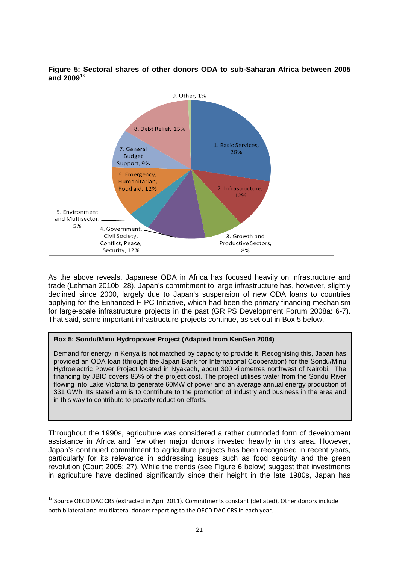

**Figure 5: Sectoral shares of other donors ODA to sub-Saharan Africa between 2005 and 2009**[13](#page-20-0)

As the above reveals, Japanese ODA in Africa has focused heavily on infrastructure and trade (Lehman 2010b: 28). Japan's commitment to large infrastructure has, however, slightly declined since 2000, largely due to Japan's suspension of new ODA loans to countries applying for the Enhanced HIPC Initiative, which had been the primary financing mechanism for large-scale infrastructure projects in the past (GRIPS Development Forum 2008a: 6-7). That said, some important infrastructure projects continue, as set out in Box 5 below.

#### **Box 5: Sondu/Miriu Hydropower Project (Adapted from KenGen 2004)**

 $\overline{a}$ 

Demand for energy in Kenya is not matched by capacity to provide it. Recognising this, Japan has provided an ODA loan (through the Japan Bank for International Cooperation) for the Sondu/Miriu Hydroelectric Power Project located in Nyakach, about 300 kilometres northwest of Nairobi. The financing by JBIC covers 85% of the project cost. The project utilises water from the Sondu River flowing into Lake Victoria to generate 60MW of power and an average annual energy production of 331 GWh. Its stated aim is to contribute to the promotion of industry and business in the area and in this way to contribute to poverty reduction efforts.

Throughout the 1990s, agriculture was considered a rather outmoded form of development assistance in Africa and few other major donors invested heavily in this area. However, Japan's continued commitment to agriculture projects has been recognised in recent years, particularly for its relevance in addressing issues such as food security and the green revolution (Court 2005: 27). While the trends (see Figure 6 below) suggest that investments in agriculture have declined significantly since their height in the late 1980s, Japan has

<span id="page-20-0"></span><sup>&</sup>lt;sup>13</sup> Source OECD DAC CRS (extracted in April 2011). Commitments constant (deflated), Other donors include both bilateral and multilateral donors reporting to the OECD DAC CRS in each year.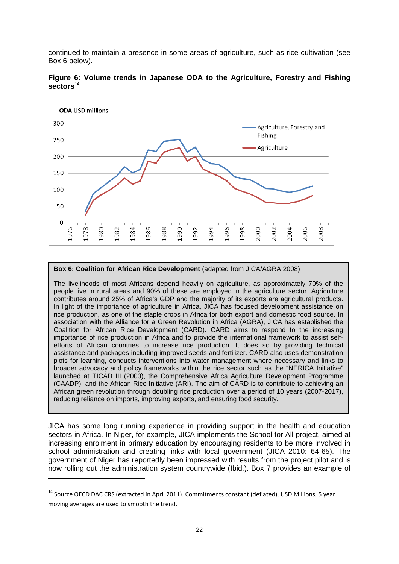continued to maintain a presence in some areas of agriculture, such as rice cultivation (see Box 6 below).



**Figure 6: Volume trends in Japanese ODA to the Agriculture, Forestry and Fishing sectors[14](#page-21-0)**

#### **Box 6: Coalition for African Rice Development** (adapted from JICA/AGRA 2008)

The livelihoods of most Africans depend heavily on agriculture, as approximately 70% of the people live in rural areas and 90% of these are employed in the agriculture sector. Agriculture contributes around 25% of Africa's GDP and the majority of its exports are agricultural products. In light of the importance of agriculture in Africa, JICA has focused development assistance on rice production, as one of the staple crops in Africa for both export and domestic food source. In association with the Alliance for a Green Revolution in Africa (AGRA), JICA has established the Coalition for African Rice Development (CARD). CARD aims to respond to the increasing importance of rice production in Africa and to provide the international framework to assist selfefforts of African countries to increase rice production. It does so by providing technical assistance and packages including improved seeds and fertilizer. CARD also uses demonstration plots for learning, conducts interventions into water management where necessary and links to broader advocacy and policy frameworks within the rice sector such as the "NERICA Initiative" launched at TICAD III (2003), the Comprehensive Africa Agriculture Development Programme (CAADP), and the African Rice Initiative (ARI). The aim of CARD is to contribute to achieving an African green revolution through doubling rice production over a period of 10 years (2007-2017), reducing reliance on imports, improving exports, and ensuring food security.

JICA has some long running experience in providing support in the health and education sectors in Africa. In Niger, for example, JICA implements the School for All project, aimed at increasing enrolment in primary education by encouraging residents to be more involved in school administration and creating links with local government (JICA 2010: 64-65). The government of Niger has reportedly been impressed with results from the project pilot and is now rolling out the administration system countrywide (Ibid.). Box 7 provides an example of

**.** 

<span id="page-21-0"></span><sup>&</sup>lt;sup>14</sup> Source OECD DAC CRS (extracted in April 2011). Commitments constant (deflated), USD Millions, 5 year moving averages are used to smooth the trend.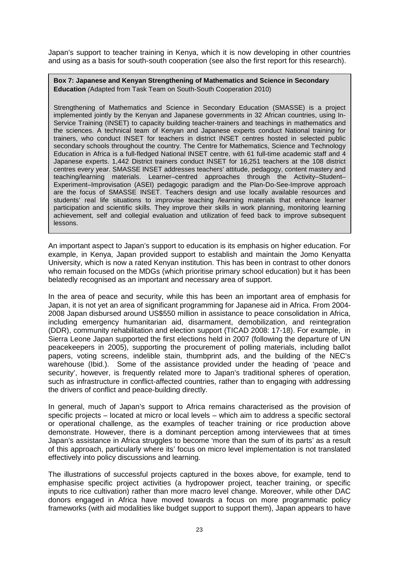Japan's support to teacher training in Kenya, which it is now developing in other countries and using as a basis for south-south cooperation (see also the first report for this research).

**Box 7: Japanese and Kenyan Strengthening of Mathematics and Science in Secondary Education** *(*Adapted from Task Team on South-South Cooperation 2010)

Strengthening of Mathematics and Science in Secondary Education (SMASSE) is a project implemented jointly by the Kenyan and Japanese governments in 32 African countries, using In-Service Training (INSET) to capacity building teacher-trainers and teachings in mathematics and the sciences. A technical team of Kenyan and Japanese experts conduct National training for trainers, who conduct INSET for teachers in district INSET centres hosted in selected public secondary schools throughout the country. The Centre for Mathematics, Science and Technology Education in Africa is a full-fledged National INSET centre, with 61 full-time academic staff and 4 Japanese experts. 1,442 District trainers conduct INSET for 16,251 teachers at the 108 district centres every year. SMASSE INSET addresses teachers' attitude, pedagogy, content mastery and teaching/learning materials. Learner–centred approaches through the Activity–Student– Experiment–Improvisation (ASEI) pedagogic paradigm and the Plan-Do-See-Improve approach are the focus of SMASSE INSET. Teachers design and use locally available resources and students' real life situations to improvise teaching /learning materials that enhance learner participation and scientific skills. They improve their skills in work planning, monitoring learning achievement, self and collegial evaluation and utilization of feed back to improve subsequent lessons.

An important aspect to Japan's support to education is its emphasis on higher education. For example, in Kenya, Japan provided support to establish and maintain the Jomo Kenyatta University, which is now a rated Kenyan institution. This has been in contrast to other donors who remain focused on the MDGs (which prioritise primary school education) but it has been belatedly recognised as an important and necessary area of support.

In the area of peace and security, while this has been an important area of emphasis for Japan, it is not yet an area of significant programming for Japanese aid in Africa. From 2004- 2008 Japan disbursed around US\$550 million in assistance to peace consolidation in Africa, including emergency humanitarian aid, disarmament, demobilization, and reintegration (DDR), community rehabilitation and election support (TICAD 2008: 17-18). For example, in Sierra Leone Japan supported the first elections held in 2007 (following the departure of UN peacekeepers in 2005), supporting the procurement of polling materials, including ballot papers, voting screens, indelible stain, thumbprint ads, and the building of the NEC's warehouse (Ibid.). Some of the assistance provided under the heading of 'peace and security', however, is frequently related more to Japan's traditional spheres of operation, such as infrastructure in conflict-affected countries, rather than to engaging with addressing the drivers of conflict and peace-building directly.

In general, much of Japan's support to Africa remains characterised as the provision of specific projects – located at micro or local levels – which aim to address a specific sectoral or operational challenge, as the examples of teacher training or rice production above demonstrate. However, there is a dominant perception among interviewees that at times Japan's assistance in Africa struggles to become 'more than the sum of its parts' as a result of this approach, particularly where its' focus on micro level implementation is not translated effectively into policy discussions and learning.

The illustrations of successful projects captured in the boxes above, for example, tend to emphasise specific project activities (a hydropower project, teacher training, or specific inputs to rice cultivation) rather than more macro level change. Moreover, while other DAC donors engaged in Africa have moved towards a focus on more programmatic policy frameworks (with aid modalities like budget support to support them), Japan appears to have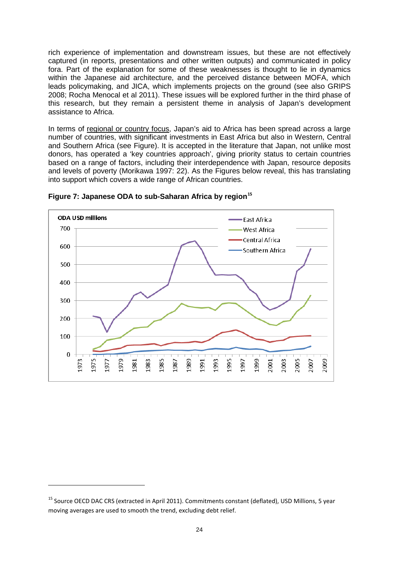rich experience of implementation and downstream issues, but these are not effectively captured (in reports, presentations and other written outputs) and communicated in policy fora. Part of the explanation for some of these weaknesses is thought to lie in dynamics within the Japanese aid architecture, and the perceived distance between MOFA, which leads policymaking, and JICA, which implements projects on the ground (see also GRIPS 2008; Rocha Menocal et al 2011). These issues will be explored further in the third phase of this research, but they remain a persistent theme in analysis of Japan's development assistance to Africa.

In terms of regional or country focus, Japan's aid to Africa has been spread across a large number of countries, with significant investments in East Africa but also in Western, Central and Southern Africa (see Figure). It is accepted in the literature that Japan, not unlike most donors, has operated a 'key countries approach', giving priority status to certain countries based on a range of factors, including their interdependence with Japan, resource deposits and levels of poverty (Morikawa 1997: 22). As the Figures below reveal, this has translating into support which covers a wide range of African countries.



**Figure 7: Japanese ODA to sub-Saharan Africa by region[15](#page-23-0)**

 $\overline{a}$ 

<span id="page-23-0"></span><sup>&</sup>lt;sup>15</sup> Source OECD DAC CRS (extracted in April 2011). Commitments constant (deflated), USD Millions, 5 year moving averages are used to smooth the trend, excluding debt relief.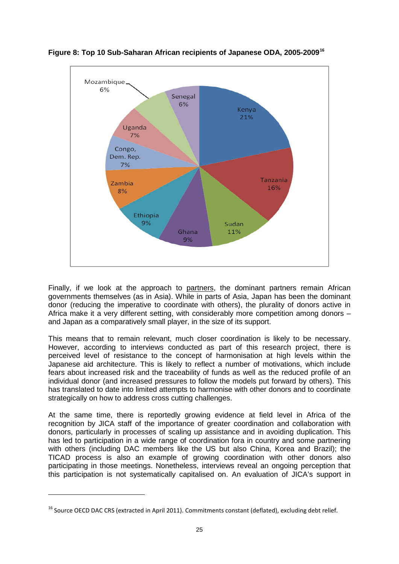

**Figure 8: Top 10 Sub-Saharan African recipients of Japanese ODA, 2005-2009[16](#page-24-0)**

Finally, if we look at the approach to partners, the dominant partners remain African governments themselves (as in Asia). While in parts of Asia, Japan has been the dominant donor (reducing the imperative to coordinate with others), the plurality of donors active in Africa make it a very different setting, with considerably more competition among donors – and Japan as a comparatively small player, in the size of its support.

This means that to remain relevant, much closer coordination is likely to be necessary. However, according to interviews conducted as part of this research project, there is perceived level of resistance to the concept of harmonisation at high levels within the Japanese aid architecture. This is likely to reflect a number of motivations, which include fears about increased risk and the traceability of funds as well as the reduced profile of an individual donor (and increased pressures to follow the models put forward by others). This has translated to date into limited attempts to harmonise with other donors and to coordinate strategically on how to address cross cutting challenges.

At the same time, there is reportedly growing evidence at field level in Africa of the recognition by JICA staff of the importance of greater coordination and collaboration with donors, particularly in processes of scaling up assistance and in avoiding duplication. This has led to participation in a wide range of coordination fora in country and some partnering with others (including DAC members like the US but also China, Korea and Brazil); the TICAD process is also an example of growing coordination with other donors also participating in those meetings. Nonetheless, interviews reveal an ongoing perception that this participation is not systematically capitalised on. An evaluation of JICA's support in

**.** 

<span id="page-24-0"></span> $16$  Source OECD DAC CRS (extracted in April 2011). Commitments constant (deflated), excluding debt relief.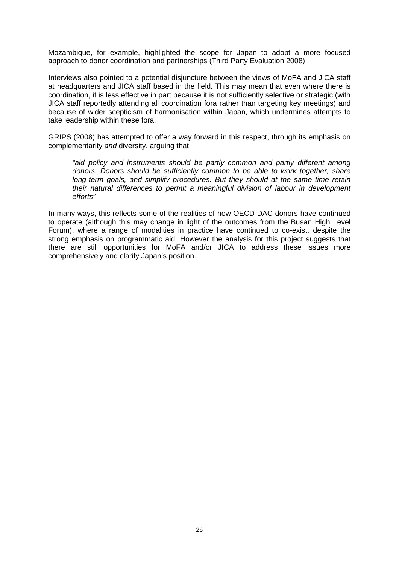Mozambique, for example, highlighted the scope for Japan to adopt a more focused approach to donor coordination and partnerships (Third Party Evaluation 2008).

Interviews also pointed to a potential disjuncture between the views of MoFA and JICA staff at headquarters and JICA staff based in the field. This may mean that even where there is coordination, it is less effective in part because it is not sufficiently selective or strategic (with JICA staff reportedly attending all coordination fora rather than targeting key meetings) and because of wider scepticism of harmonisation within Japan, which undermines attempts to take leadership within these fora.

GRIPS (2008) has attempted to offer a way forward in this respect, through its emphasis on complementarity *and* diversity, arguing that

*"aid policy and instruments should be partly common and partly different among donors. Donors should be sufficiently common to be able to work together, share long-term goals, and simplify procedures. But they should at the same time retain their natural differences to permit a meaningful division of labour in development efforts".* 

In many ways, this reflects some of the realities of how OECD DAC donors have continued to operate (although this may change in light of the outcomes from the Busan High Level Forum), where a range of modalities in practice have continued to co-exist, despite the strong emphasis on programmatic aid. However the analysis for this project suggests that there are still opportunities for MoFA and/or JICA to address these issues more comprehensively and clarify Japan's position.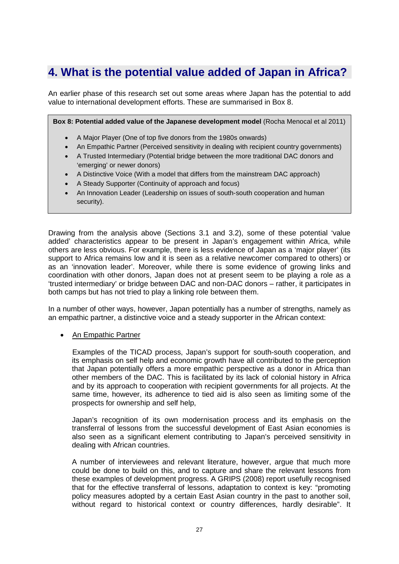### <span id="page-26-0"></span>**4. What is the potential value added of Japan in Africa?**

An earlier phase of this research set out some areas where Japan has the potential to add value to international development efforts. These are summarised in Box 8.

**Box 8: Potential added value of the Japanese development model** (Rocha Menocal et al 2011)

- A Major Player (One of top five donors from the 1980s onwards)
- An Empathic Partner (Perceived sensitivity in dealing with recipient country governments)
- A Trusted Intermediary (Potential bridge between the more traditional DAC donors and 'emerging' or newer donors)
- A Distinctive Voice (With a model that differs from the mainstream DAC approach)
- A Steady Supporter (Continuity of approach and focus)
- An Innovation Leader (Leadership on issues of south-south cooperation and human security).

Drawing from the analysis above (Sections 3.1 and 3.2), some of these potential 'value added' characteristics appear to be present in Japan's engagement within Africa, while others are less obvious. For example, there is less evidence of Japan as a 'major player' (its support to Africa remains low and it is seen as a relative newcomer compared to others) or as an 'innovation leader'. Moreover, while there is some evidence of growing links and coordination with other donors, Japan does not at present seem to be playing a role as a 'trusted intermediary' or bridge between DAC and non-DAC donors – rather, it participates in both camps but has not tried to play a linking role between them.

In a number of other ways, however, Japan potentially has a number of strengths, namely as an empathic partner, a distinctive voice and a steady supporter in the African context:

#### • An Empathic Partner

Examples of the TICAD process, Japan's support for south-south cooperation, and its emphasis on self help and economic growth have all contributed to the perception that Japan potentially offers a more empathic perspective as a donor in Africa than other members of the DAC. This is facilitated by its lack of colonial history in Africa and by its approach to cooperation with recipient governments for all projects. At the same time, however, its adherence to tied aid is also seen as limiting some of the prospects for ownership and self help,

Japan's recognition of its own modernisation process and its emphasis on the transferral of lessons from the successful development of East Asian economies is also seen as a significant element contributing to Japan's perceived sensitivity in dealing with African countries.

A number of interviewees and relevant literature, however, argue that much more could be done to build on this, and to capture and share the relevant lessons from these examples of development progress. A GRIPS (2008) report usefully recognised that for the effective transferral of lessons, adaptation to context is key: "promoting policy measures adopted by a certain East Asian country in the past to another soil, without regard to historical context or country differences, hardly desirable". It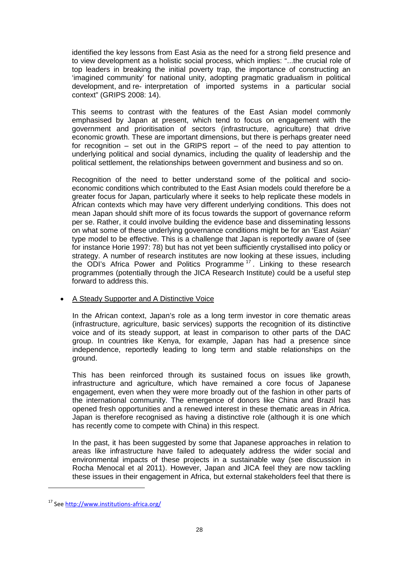identified the key lessons from East Asia as the need for a strong field presence and to view development as a holistic social process, which implies: "...the crucial role of top leaders in breaking the initial poverty trap, the importance of constructing an 'imagined community' for national unity, adopting pragmatic gradualism in political development, and re- interpretation of imported systems in a particular social context" (GRIPS 2008: 14).

This seems to contrast with the features of the East Asian model commonly emphasised by Japan at present, which tend to focus on engagement with the government and prioritisation of sectors (infrastructure, agriculture) that drive economic growth. These are important dimensions, but there is perhaps greater need for recognition – set out in the GRIPS report – of the need to pay attention to underlying political and social dynamics, including the quality of leadership and the political settlement, the relationships between government and business and so on.

Recognition of the need to better understand some of the political and socioeconomic conditions which contributed to the East Asian models could therefore be a greater focus for Japan, particularly where it seeks to help replicate these models in African contexts which may have very different underlying conditions. This does not mean Japan should shift more of its focus towards the support of governance reform per se. Rather, it could involve building the evidence base and disseminating lessons on what some of these underlying governance conditions might be for an 'East Asian' type model to be effective. This is a challenge that Japan is reportedly aware of (see for instance Horie 1997: 78) but has not yet been sufficiently crystallised into policy or strategy. A number of research institutes are now looking at these issues, including the ODI's Africa Power and Politics Programme<sup>[17](#page-27-0)</sup>. Linking to these research programmes (potentially through the JICA Research Institute) could be a useful step forward to address this.

#### • A Steady Supporter and A Distinctive Voice

In the African context, Japan's role as a long term investor in core thematic areas (infrastructure, agriculture, basic services) supports the recognition of its distinctive voice and of its steady support, at least in comparison to other parts of the DAC group. In countries like Kenya, for example, Japan has had a presence since independence, reportedly leading to long term and stable relationships on the ground.

This has been reinforced through its sustained focus on issues like growth, infrastructure and agriculture, which have remained a core focus of Japanese engagement, even when they were more broadly out of the fashion in other parts of the international community. The emergence of donors like China and Brazil has opened fresh opportunities and a renewed interest in these thematic areas in Africa. Japan is therefore recognised as having a distinctive role (although it is one which has recently come to compete with China) in this respect.

In the past, it has been suggested by some that Japanese approaches in relation to areas like infrastructure have failed to adequately address the wider social and environmental impacts of these projects in a sustainable way (see discussion in Rocha Menocal et al 2011). However, Japan and JICA feel they are now tackling these issues in their engagement in Africa, but external stakeholders feel that there is

**.** 

<span id="page-27-0"></span><sup>17</sup> Se[e http://www.institutions-africa.org/](http://www.institutions-africa.org/)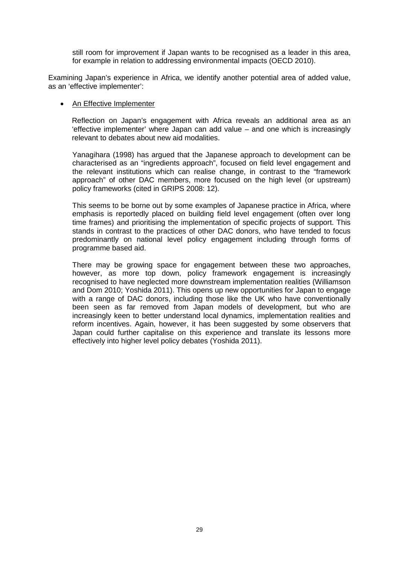still room for improvement if Japan wants to be recognised as a leader in this area, for example in relation to addressing environmental impacts (OECD 2010).

Examining Japan's experience in Africa, we identify another potential area of added value, as an 'effective implementer':

#### • An Effective Implementer

Reflection on Japan's engagement with Africa reveals an additional area as an 'effective implementer' where Japan can add value – and one which is increasingly relevant to debates about new aid modalities.

Yanagihara (1998) has argued that the Japanese approach to development can be characterised as an "ingredients approach", focused on field level engagement and the relevant institutions which can realise change, in contrast to the "framework approach" of other DAC members, more focused on the high level (or upstream) policy frameworks (cited in GRIPS 2008: 12).

This seems to be borne out by some examples of Japanese practice in Africa, where emphasis is reportedly placed on building field level engagement (often over long time frames) and prioritising the implementation of specific projects of support. This stands in contrast to the practices of other DAC donors, who have tended to focus predominantly on national level policy engagement including through forms of programme based aid.

There may be growing space for engagement between these two approaches, however, as more top down, policy framework engagement is increasingly recognised to have neglected more downstream implementation realities (Williamson and Dom 2010; Yoshida 2011). This opens up new opportunities for Japan to engage with a range of DAC donors, including those like the UK who have conventionally been seen as far removed from Japan models of development, but who are increasingly keen to better understand local dynamics, implementation realities and reform incentives. Again, however, it has been suggested by some observers that Japan could further capitalise on this experience and translate its lessons more effectively into higher level policy debates (Yoshida 2011).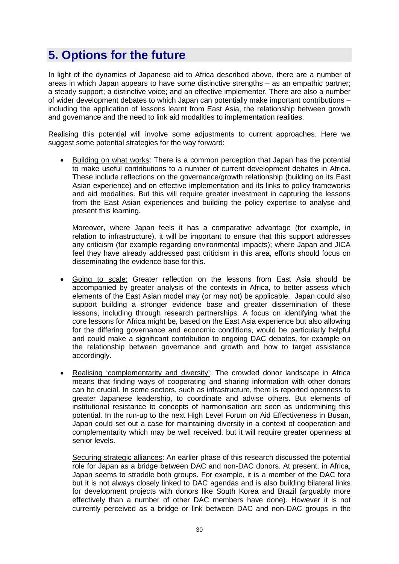# <span id="page-29-0"></span>**5. Options for the future**

In light of the dynamics of Japanese aid to Africa described above, there are a number of areas in which Japan appears to have some distinctive strengths – as an empathic partner; a steady support; a distinctive voice; and an effective implementer. There are also a number of wider development debates to which Japan can potentially make important contributions – including the application of lessons learnt from East Asia, the relationship between growth and governance and the need to link aid modalities to implementation realities.

Realising this potential will involve some adjustments to current approaches. Here we suggest some potential strategies for the way forward:

• Building on what works: There is a common perception that Japan has the potential to make useful contributions to a number of current development debates in Africa. These include reflections on the governance/growth relationship (building on its East Asian experience) and on effective implementation and its links to policy frameworks and aid modalities. But this will require greater investment in capturing the lessons from the East Asian experiences and building the policy expertise to analyse and present this learning.

Moreover, where Japan feels it has a comparative advantage (for example, in relation to infrastructure), it will be important to ensure that this support addresses any criticism (for example regarding environmental impacts); where Japan and JICA feel they have already addressed past criticism in this area, efforts should focus on disseminating the evidence base for this.

- Going to scale: Greater reflection on the lessons from East Asia should be accompanied by greater analysis of the contexts in Africa, to better assess which elements of the East Asian model may (or may not) be applicable. Japan could also support building a stronger evidence base and greater dissemination of these lessons, including through research partnerships. A focus on identifying what the core lessons for Africa might be, based on the East Asia experience but also allowing for the differing governance and economic conditions, would be particularly helpful and could make a significant contribution to ongoing DAC debates, for example on the relationship between governance and growth and how to target assistance accordingly.
- Realising 'complementarity and diversity': The crowded donor landscape in Africa means that finding ways of cooperating and sharing information with other donors can be crucial. In some sectors, such as infrastructure, there is reported openness to greater Japanese leadership, to coordinate and advise others. But elements of institutional resistance to concepts of harmonisation are seen as undermining this potential. In the run-up to the next High Level Forum on Aid Effectiveness in Busan, Japan could set out a case for maintaining diversity in a context of cooperation and complementarity which may be well received, but it will require greater openness at senior levels.

Securing strategic alliances: An earlier phase of this research discussed the potential role for Japan as a bridge between DAC and non-DAC donors. At present, in Africa, Japan seems to straddle both groups. For example, it is a member of the DAC fora but it is not always closely linked to DAC agendas and is also building bilateral links for development projects with donors like South Korea and Brazil (arguably more effectively than a number of other DAC members have done). However it is not currently perceived as a bridge or link between DAC and non-DAC groups in the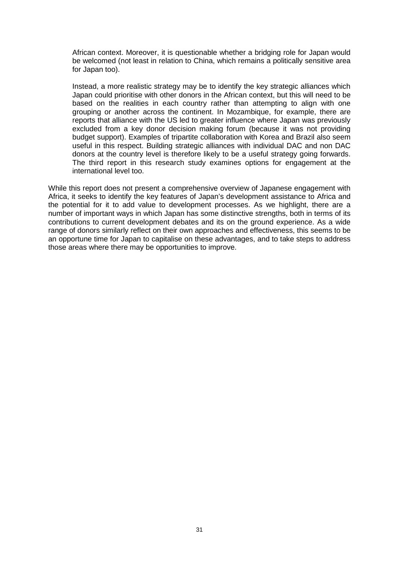African context. Moreover, it is questionable whether a bridging role for Japan would be welcomed (not least in relation to China, which remains a politically sensitive area for Japan too).

Instead, a more realistic strategy may be to identify the key strategic alliances which Japan could prioritise with other donors in the African context, but this will need to be based on the realities in each country rather than attempting to align with one grouping or another across the continent. In Mozambique, for example, there are reports that alliance with the US led to greater influence where Japan was previously excluded from a key donor decision making forum (because it was not providing budget support). Examples of tripartite collaboration with Korea and Brazil also seem useful in this respect. Building strategic alliances with individual DAC and non DAC donors at the country level is therefore likely to be a useful strategy going forwards. The third report in this research study examines options for engagement at the international level too.

While this report does not present a comprehensive overview of Japanese engagement with Africa, it seeks to identify the key features of Japan's development assistance to Africa and the potential for it to add value to development processes. As we highlight, there are a number of important ways in which Japan has some distinctive strengths, both in terms of its contributions to current development debates and its on the ground experience. As a wide range of donors similarly reflect on their own approaches and effectiveness, this seems to be an opportune time for Japan to capitalise on these advantages, and to take steps to address those areas where there may be opportunities to improve.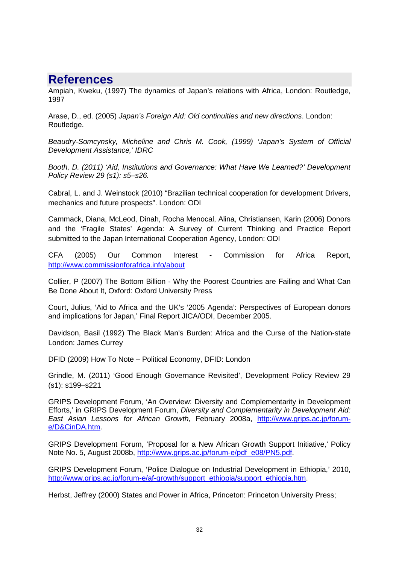### <span id="page-31-0"></span>**References**

Ampiah, Kweku, (1997) The dynamics of Japan's relations with Africa, London: Routledge, 1997

Arase, D., ed. (2005) *Japan's Foreign Aid: Old continuities and new directions*. London: Routledge.

*Beaudry-Somcynsky, Micheline and Chris M. Cook, (1999) 'Japan's System of Official Development Assistance,' IDRC*

*Booth, D. (2011) 'Aid, Institutions and Governance: What Have We Learned?' Development Policy Review 29 (s1): s5–s26.*

Cabral, L. and J. Weinstock (2010) "Brazilian technical cooperation for development Drivers, mechanics and future prospects". London: ODI

Cammack, Diana, McLeod, Dinah, Rocha Menocal, Alina, Christiansen, Karin (2006) Donors and the 'Fragile States' Agenda: A Survey of Current Thinking and Practice Report submitted to the Japan International Cooperation Agency, London: ODI

CFA (2005) Our Common Interest - Commission for Africa Report, <http://www.commissionforafrica.info/about>

Collier, P (2007) The Bottom Billion - Why the Poorest Countries are Failing and What Can Be Done About It, Oxford: Oxford University Press

Court, Julius, 'Aid to Africa and the UK's '2005 Agenda': Perspectives of European donors and implications for Japan,' Final Report JICA/ODI, December 2005.

Davidson, Basil (1992) The Black Man's Burden: Africa and the Curse of the Nation-state London: James Currey

DFID (2009) How To Note – Political Economy, DFID: London

Grindle, M. (2011) 'Good Enough Governance Revisited', Development Policy Review 29 (s1): s199–s221

GRIPS Development Forum, 'An Overview: Diversity and Complementarity in Development Efforts,' in GRIPS Development Forum, *Diversity and Complementarity in Development Aid: East Asian Lessons for African Growth*, February 2008a, [http://www.grips.ac.jp/forum](http://www.grips.ac.jp/forum-e/D&CinDA.htm)[e/D&CinDA.htm.](http://www.grips.ac.jp/forum-e/D&CinDA.htm)

GRIPS Development Forum, 'Proposal for a New African Growth Support Initiative,' Policy Note No. 5, August 2008b, [http://www.grips.ac.jp/forum-e/pdf\\_e08/PN5.pdf.](http://www.grips.ac.jp/forum-e/pdf_e08/PN5.pdf)

GRIPS Development Forum, 'Police Dialogue on Industrial Development in Ethiopia,' 2010, [http://www.grips.ac.jp/forum-e/af-growth/support\\_ethiopia/support\\_ethiopia.htm.](http://www.grips.ac.jp/forum-e/af-growth/support_ethiopia/support_ethiopia.htm)

Herbst, Jeffrey (2000) States and Power in Africa, Princeton: Princeton University Press;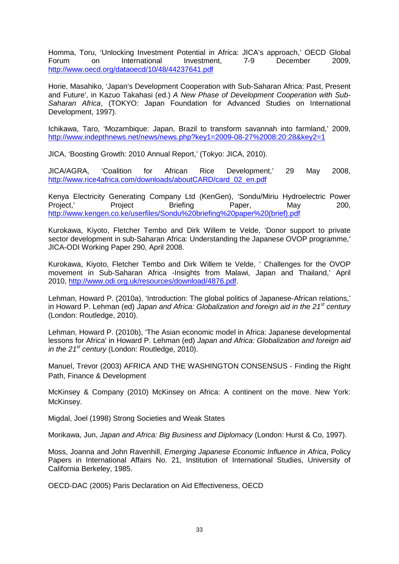Homma, Toru, 'Unlocking Investment Potential in Africa: JICA's approach,' OECD Global Forum on International Investment, 7-9 December 2009, <http://www.oecd.org/dataoecd/10/48/44237641.pdf>

Horie, Masahiko, 'Japan's Development Cooperation with Sub-Saharan Africa: Past, Present and Future', in Kazuo Takahasi (ed.) *A New Phase of Development Cooperation with Sub-Saharan Africa*, (TOKYO: Japan Foundation for Advanced Studies on International Development, 1997).

Ichikawa, Taro, 'Mozambique: Japan, Brazil to transform savannah into farmland,' 2009, <http://www.indepthnews.net/news/news.php?key1=2009-08-27%2008:20:28&key2=1>

JICA, 'Boosting Growth: 2010 Annual Report,' (Tokyo: JICA, 2010).

JICA/AGRA, 'Coalition for African Rice Development,' 29 May 2008, [http://www.rice4africa.com/downloads/aboutCARD/card\\_02\\_en.pdf](http://www.rice4africa.com/downloads/aboutCARD/card_02_en.pdf)

Kenya Electricity Generating Company Ltd (KenGen), 'Sondu/Miriu Hydroelectric Power<br>Proiect.' Proiect Briefing Paper. May 200. Project,' Project Briefing Paper, May 200, [http://www.kengen.co.ke/userfiles/Sondu%20briefing%20paper%20\(brief\).pdf](http://www.kengen.co.ke/userfiles/Sondu%20briefing%20paper%20(brief).pdf)

Kurokawa, Kiyoto, Fletcher Tembo and Dirk Willem te Velde, 'Donor support to private sector development in sub-Saharan Africa: Understanding the Japanese OVOP programme,' JICA-ODI Working Paper 290, April 2008.

Kurokawa, Kiyoto, Fletcher Tembo and Dirk Willem te Velde, ' Challenges for the OVOP movement in Sub-Saharan Africa -Insights from Malawi, Japan and Thailand,' April 2010, [http://www.odi.org.uk/resources/download/4876.pdf.](http://www.odi.org.uk/resources/download/4876.pdf/)

Lehman, Howard P. (2010a), 'Introduction: The global politics of Japanese-African relations,' in Howard P. Lehman (ed) *Japan and Africa: Globalization and foreign aid in the 21st century* (London: Routledge, 2010).

Lehman, Howard P. (2010b), 'The Asian economic model in Africa: Japanese developmental lessons for Africa' in Howard P. Lehman (ed) *Japan and Africa: Globalization and foreign aid in the 21st century* (London: Routledge, 2010).

Manuel, Trevor (2003) AFRICA AND THE WASHINGTON CONSENSUS - Finding the Right Path, Finance & Development

McKinsey & Company (2010) McKinsey on Africa: A continent on the move. New York: McKinsey.

Migdal, Joel (1998) Strong Societies and Weak States

Morikawa, Jun, *Japan and Africa: Big Business and Diplomacy* (London: Hurst & Co, 1997).

Moss, Joanna and John Ravenhill, *Emerging Japanese Economic Influence in Africa*, Policy Papers in International Affairs No. 21, Institution of International Studies, University of California Berkeley, 1985.

OECD-DAC (2005) Paris Declaration on Aid Effectiveness, OECD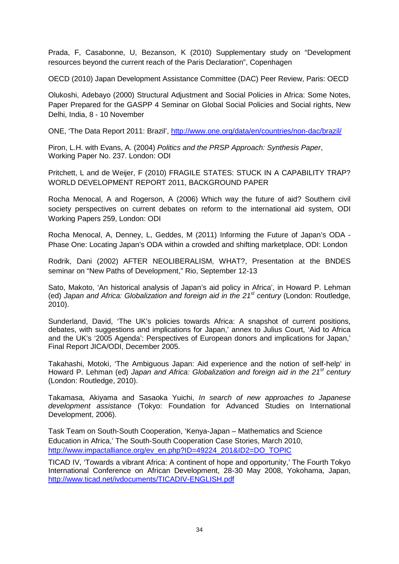Prada, F, Casabonne, U, Bezanson, K (2010) Supplementary study on "Development resources beyond the current reach of the Paris Declaration", Copenhagen

OECD (2010) Japan Development Assistance Committee (DAC) Peer Review, Paris: OECD

Olukoshi, Adebayo (2000) Structural Adjustment and Social Policies in Africa: Some Notes, Paper Prepared for the GASPP 4 Seminar on Global Social Policies and Social rights, New Delhi, India, 8 - 10 November

ONE, 'The Data Report 2011: Brazil',<http://www.one.org/data/en/countries/non-dac/brazil/>

Piron, L.H. with Evans, A. (2004) *Politics and the PRSP Approach: Synthesis Paper*, Working Paper No. 237. London: ODI

Pritchett, L and de Weijer, F (2010) FRAGILE STATES: STUCK IN A CAPABILITY TRAP? WORLD DEVELOPMENT REPORT 2011, BACKGROUND PAPER

Rocha Menocal, A and Rogerson, A (2006) Which way the future of aid? Southern civil society perspectives on current debates on reform to the international aid system, ODI Working Papers 259, London: ODI

Rocha Menocal, A, Denney, L, Geddes, M (2011) Informing the Future of Japan's ODA - Phase One: Locating Japan's ODA within a crowded and shifting marketplace, ODI: London

Rodrik, Dani (2002) AFTER NEOLIBERALISM, WHAT?, Presentation at the BNDES seminar on "New Paths of Development," Rio, September 12-13

Sato, Makoto, 'An historical analysis of Japan's aid policy in Africa', in Howard P. Lehman (ed) *Japan and Africa: Globalization and foreign aid in the 21st century* (London: Routledge, 2010).

Sunderland, David, 'The UK's policies towards Africa: A snapshot of current positions, debates, with suggestions and implications for Japan,' annex to Julius Court, 'Aid to Africa and the UK's '2005 Agenda': Perspectives of European donors and implications for Japan,' Final Report JICA/ODI, December 2005.

Takahashi, Motoki, 'The Ambiguous Japan: Aid experience and the notion of self-help' in Howard P. Lehman (ed) *Japan and Africa: Globalization and foreign aid in the 21st century* (London: Routledge, 2010).

Takamasa, Akiyama and Sasaoka Yuichi, *In search of new approaches to Japanese development assistance* (Tokyo: Foundation for Advanced Studies on International Development, 2006).

Task Team on South-South Cooperation, 'Kenya-Japan – Mathematics and Science Education in Africa,' The South-South Cooperation Case Stories, March 2010, [http://www.impactalliance.org/ev\\_en.php?ID=49224\\_201&ID2=DO\\_TOPIC](http://www.impactalliance.org/ev_en.php?ID=49224_201&ID2=DO_TOPIC)

TICAD IV, 'Towards a vibrant Africa: A continent of hope and opportunity,' The Fourth Tokyo International Conference on African Development, 28-30 May 2008, Yokohama, Japan, <http://www.ticad.net/ivdocuments/TICADIV-ENGLISH.pdf>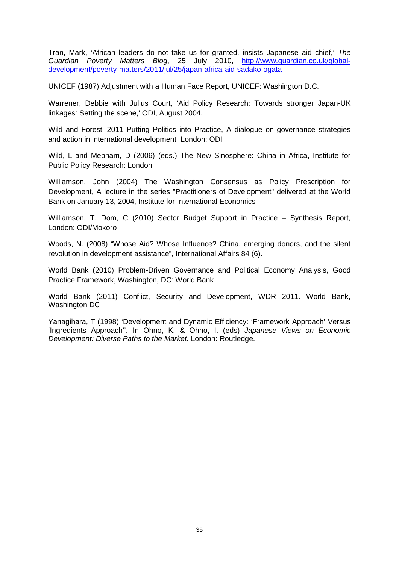Tran, Mark, 'African leaders do not take us for granted, insists Japanese aid chief,' *The Guardian Poverty Matters Blog*, 25 July 2010, [http://www.guardian.co.uk/global](http://www.guardian.co.uk/global-development/poverty-matters/2011/jul/25/japan-africa-aid-sadako-ogata)[development/poverty-matters/2011/jul/25/japan-africa-aid-sadako-ogata](http://www.guardian.co.uk/global-development/poverty-matters/2011/jul/25/japan-africa-aid-sadako-ogata)

UNICEF (1987) Adjustment with a Human Face Report, UNICEF: Washington D.C.

Warrener, Debbie with Julius Court, 'Aid Policy Research: Towards stronger Japan-UK linkages: Setting the scene,' ODI, August 2004.

Wild and Foresti 2011 Putting Politics into Practice, A dialogue on governance strategies and action in international development London: ODI

Wild, L and Mepham, D (2006) (eds.) The New Sinosphere: China in Africa, Institute for Public Policy Research: London

Williamson, John (2004) The Washington Consensus as Policy Prescription for Development, A lecture in the series "Practitioners of Development" delivered at the World Bank on January 13, 2004, Institute for International Economics

Williamson, T, Dom, C (2010) Sector Budget Support in Practice – Synthesis Report, London: ODI/Mokoro

Woods, N. (2008) "Whose Aid? Whose Influence? China, emerging donors, and the silent revolution in development assistance", International Affairs 84 (6).

World Bank (2010) Problem-Driven Governance and Political Economy Analysis, Good Practice Framework, Washington, DC: World Bank

World Bank (2011) Conflict, Security and Development, WDR 2011. World Bank, Washington DC

Yanagihara, T (1998) 'Development and Dynamic Efficiency: 'Framework Approach' Versus 'Ingredients Approach''. In Ohno, K. & Ohno, I. (eds) *Japanese Views on Economic Development: Diverse Paths to the Market.* London: Routledge.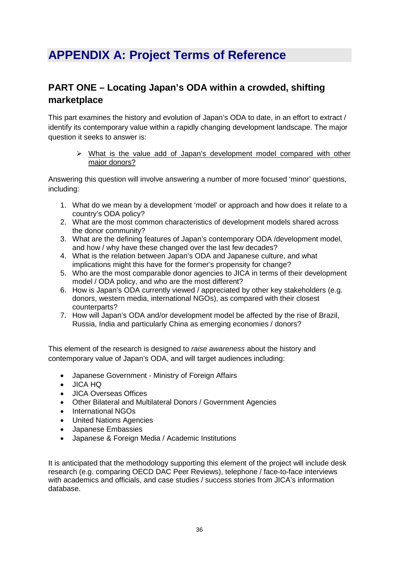# <span id="page-35-0"></span>**APPENDIX A: Project Terms of Reference**

### **PART ONE – Locating Japan's ODA within a crowded, shifting marketplace**

This part examines the history and evolution of Japan's ODA to date, in an effort to extract / identify its contemporary value within a rapidly changing development landscape. The major question it seeks to answer is:

 $\triangleright$  What is the value add of Japan's development model compared with other major donors?

Answering this question will involve answering a number of more focused 'minor' questions, including:

- 1. What do we mean by a development 'model' or approach and how does it relate to a country's ODA policy?
- 2. What are the most common characteristics of development models shared across the donor community?
- 3. What are the defining features of Japan's contemporary ODA /development model, and how / why have these changed over the last few decades?
- 4. What is the relation between Japan's ODA and Japanese culture, and what implications might this have for the former's propensity for change?
- 5. Who are the most comparable donor agencies to JICA in terms of their development model / ODA policy, and who are the most different?
- 6. How is Japan's ODA currently viewed / appreciated by other key stakeholders (e.g. donors, western media, international NGOs), as compared with their closest counterparts?
- 7. How will Japan's ODA and/or development model be affected by the rise of Brazil, Russia, India and particularly China as emerging economies / donors?

This element of the research is designed to *raise awareness* about the history and contemporary value of Japan's ODA, and will target audiences including:

- Japanese Government Ministry of Foreign Affairs
- JICA HQ
- JICA Overseas Offices
- Other Bilateral and Multilateral Donors / Government Agencies
- International NGOs
- United Nations Agencies
- Japanese Embassies
- Japanese & Foreign Media / Academic Institutions

It is anticipated that the methodology supporting this element of the project will include desk research (e.g. comparing OECD DAC Peer Reviews), telephone / face-to-face interviews with academics and officials, and case studies / success stories from JICA's information database.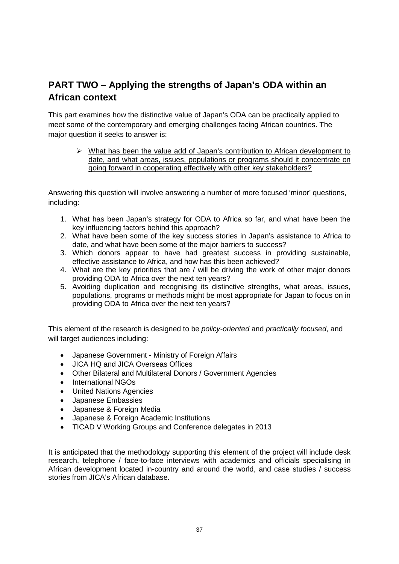### **PART TWO – Applying the strengths of Japan's ODA within an African context**

This part examines how the distinctive value of Japan's ODA can be practically applied to meet some of the contemporary and emerging challenges facing African countries. The major question it seeks to answer is:

 $\triangleright$  What has been the value add of Japan's contribution to African development to date, and what areas, issues, populations or programs should it concentrate on going forward in cooperating effectively with other key stakeholders?

Answering this question will involve answering a number of more focused 'minor' questions, including:

- 1. What has been Japan's strategy for ODA to Africa so far, and what have been the key influencing factors behind this approach?
- 2. What have been some of the key success stories in Japan's assistance to Africa to date, and what have been some of the major barriers to success?
- 3. Which donors appear to have had greatest success in providing sustainable, effective assistance to Africa, and how has this been achieved?
- 4. What are the key priorities that are / will be driving the work of other major donors providing ODA to Africa over the next ten years?
- 5. Avoiding duplication and recognising its distinctive strengths, what areas, issues, populations, programs or methods might be most appropriate for Japan to focus on in providing ODA to Africa over the next ten years?

This element of the research is designed to be *policy-oriented* and *practically focused*, and will target audiences including:

- Japanese Government Ministry of Foreign Affairs
- JICA HQ and JICA Overseas Offices
- Other Bilateral and Multilateral Donors / Government Agencies
- International NGOs
- United Nations Agencies
- Japanese Embassies
- Japanese & Foreign Media
- Japanese & Foreign Academic Institutions
- TICAD V Working Groups and Conference delegates in 2013

It is anticipated that the methodology supporting this element of the project will include desk research, telephone / face-to-face interviews with academics and officials specialising in African development located in-country and around the world, and case studies / success stories from JICA's African database.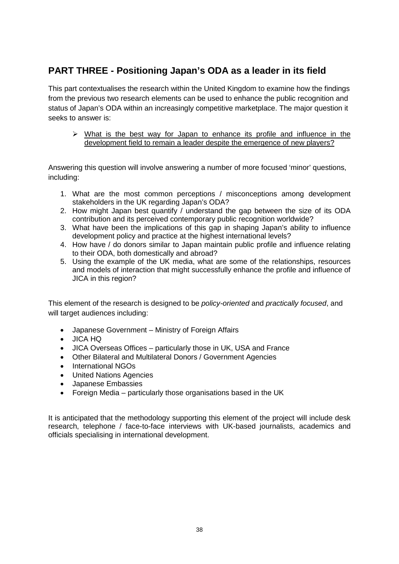### **PART THREE - Positioning Japan's ODA as a leader in its field**

This part contextualises the research within the United Kingdom to examine how the findings from the previous two research elements can be used to enhance the public recognition and status of Japan's ODA within an increasingly competitive marketplace. The major question it seeks to answer is:

 $\triangleright$  What is the best way for Japan to enhance its profile and influence in the development field to remain a leader despite the emergence of new players?

Answering this question will involve answering a number of more focused 'minor' questions, including:

- 1. What are the most common perceptions / misconceptions among development stakeholders in the UK regarding Japan's ODA?
- 2. How might Japan best quantify / understand the gap between the size of its ODA contribution and its perceived contemporary public recognition worldwide?
- 3. What have been the implications of this gap in shaping Japan's ability to influence development policy and practice at the highest international levels?
- 4. How have / do donors similar to Japan maintain public profile and influence relating to their ODA, both domestically and abroad?
- 5. Using the example of the UK media, what are some of the relationships, resources and models of interaction that might successfully enhance the profile and influence of JICA in this region?

This element of the research is designed to be *policy-oriented* and *practically focused*, and will target audiences including:

- Japanese Government Ministry of Foreign Affairs
- JICA HQ
- JICA Overseas Offices particularly those in UK, USA and France
- Other Bilateral and Multilateral Donors / Government Agencies
- International NGOs
- United Nations Agencies
- Japanese Embassies
- Foreign Media particularly those organisations based in the UK

It is anticipated that the methodology supporting this element of the project will include desk research, telephone / face-to-face interviews with UK-based journalists, academics and officials specialising in international development.